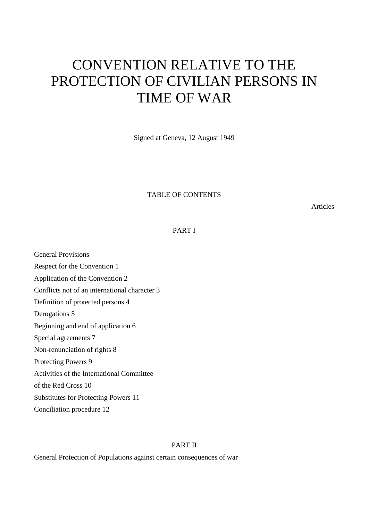# CONVENTION RELATIVE TO THE PROTECTION OF CIVILIAN PERSONS IN TIME OF WAR

Signed at Geneva, 12 August 1949

# TABLE OF CONTENTS

Articles

# PART I

General Provisions Respect for the Convention 1 Application of the Convention 2 Conflicts not of an international character 3 Definition of protected persons 4 Derogations 5 Beginning and end of application 6 Special agreements 7 Non-renunciation of rights 8 Protecting Powers 9 Activities of the International Committee of the Red Cross 10 Substitutes for Protecting Powers 11 Conciliation procedure 12

# PART II

General Protection of Populations against certain consequences of war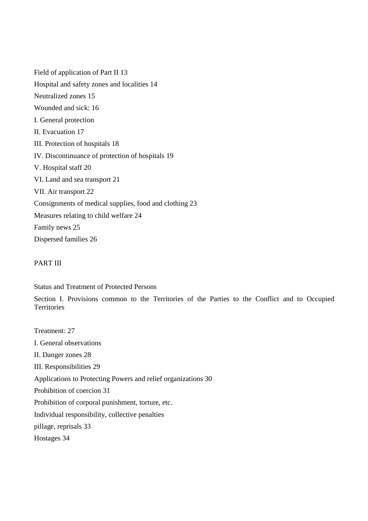Field of application of Part II 13 Hospital and safety zones and localities 14 Neutralized zones 15 Wounded and sick: 16 I. General protection II. Evacuation 17 III. Protection of hospitals 18 IV. Discontinuance of protection of hospitals 19 V. Hospital staff 20 VI. Land and sea transport 21 VII. Air transport 22 Consignments of medical supplies, food and clothing 23 Measures relating to child welfare 24 Family news 25 Dispersed families 26

# PART III

Status and Treatment of Protected Persons Section I. Provisions common to the Territories of the Parties to the Conflict and to Occupied **Territories** 

Treatment: 27 I. General observations II. Danger zones 28 III. Responsibilities 29 Applications to Protecting Powers and relief organizations 30 Prohibition of coercion 31 Prohibition of corporal punishment, torture, etc. Individual responsibility, collective penalties pillage, reprisals 33

Hostages 34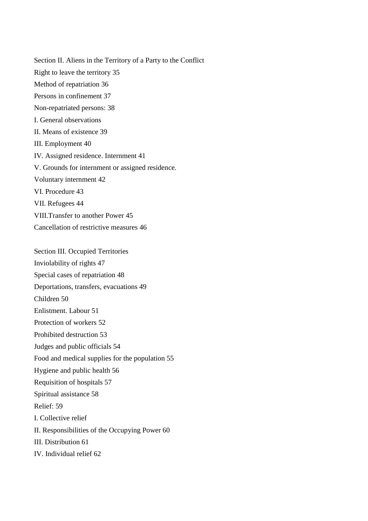Section II. Aliens in the Territory of a Party to the Conflict Right to leave the territory 35 Method of repatriation 36 Persons in confinement 37 Non-repatriated persons: 38 I. General observations II. Means of existence 39 III. Employment 40 IV. Assigned residence. Internment 41 V. Grounds for internment or assigned residence. Voluntary internment 42 VI. Procedure 43 VII. Refugees 44 VIII.Transfer to another Power 45 Cancellation of restrictive measures 46

Section III. Occupied Territories

Inviolability of rights 47

Special cases of repatriation 48

Deportations, transfers, evacuations 49

Children 50

Enlistment. Labour 51

Protection of workers 52

Prohibited destruction 53

Judges and public officials 54

Food and medical supplies for the population 55

Hygiene and public health 56

Requisition of hospitals 57

Spiritual assistance 58

Relief: 59

I. Collective relief

II. Responsibilities of the Occupying Power 60

III. Distribution 61

IV. Individual relief 62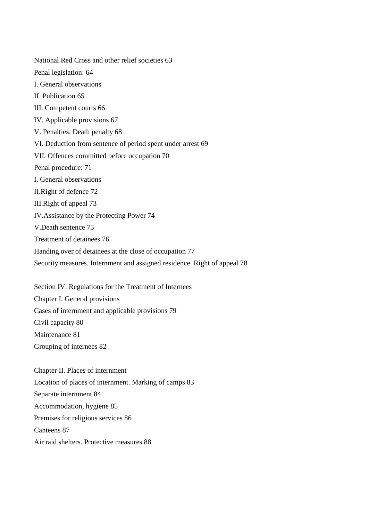National Red Cross and other relief societies 63 Penal legislation: 64 I. General observations II. Publication 65 III. Competent courts 66 IV. Applicable provisions 67 V. Penalties. Death penalty 68 VI. Deduction from sentence of period spent under arrest 69 VII. Offences committed before occupation 70 Penal procedure: 71 I. General observations II.Right of defence 72 III.Right of appeal 73 IV.Assistance by the Protecting Power 74 V.Death sentence 75 Treatment of detainees 76 Handing over of detainees at the close of occupation 77 Security measures. Internment and assigned residence. Right of appeal 78

Section IV. Regulations for the Treatment of Internees Chapter I. General provisions Cases of internment and applicable provisions 79 Civil capacity 80 Maintenance 81 Grouping of internees 82

Chapter II. Places of internment Location of places of internment. Marking of camps 83 Separate internment 84 Accommodation, hygiene 85 Premises for religious services 86 Canteens 87 Air raid shelters. Protective measures 88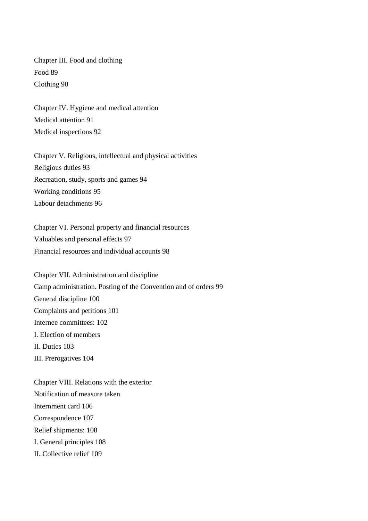Chapter III. Food and clothing Food 89 Clothing 90

Chapter IV. Hygiene and medical attention Medical attention 91 Medical inspections 92

Chapter V. Religious, intellectual and physical activities Religious duties 93 Recreation, study, sports and games 94 Working conditions 95 Labour detachments 96

Chapter VI. Personal property and financial resources Valuables and personal effects 97 Financial resources and individual accounts 98

Chapter VII. Administration and discipline Camp administration. Posting of the Convention and of orders 99 General discipline 100 Complaints and petitions 101 Internee committees: 102 I. Election of members II. Duties 103 III. Prerogatives 104

Chapter VIII. Relations with the exterior Notification of measure taken Internment card 106 Correspondence 107 Relief shipments: 108 I. General principles 108 II. Collective relief 109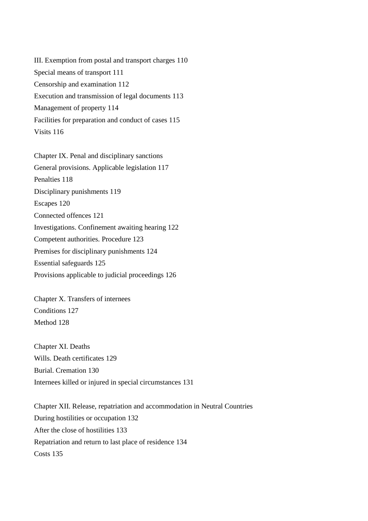III. Exemption from postal and transport charges 110 Special means of transport 111 Censorship and examination 112 Execution and transmission of legal documents 113 Management of property 114 Facilities for preparation and conduct of cases 115 Visits 116

Chapter IX. Penal and disciplinary sanctions General provisions. Applicable legislation 117 Penalties 118 Disciplinary punishments 119 Escapes 120 Connected offences 121 Investigations. Confinement awaiting hearing 122 Competent authorities. Procedure 123 Premises for disciplinary punishments 124 Essential safeguards 125 Provisions applicable to judicial proceedings 126

Chapter X. Transfers of internees Conditions 127 Method 128

Chapter XI. Deaths Wills. Death certificates 129 Burial. Cremation 130 Internees killed or injured in special circumstances 131

Chapter XII. Release, repatriation and accommodation in Neutral Countries During hostilities or occupation 132 After the close of hostilities 133 Repatriation and return to last place of residence 134 Costs 135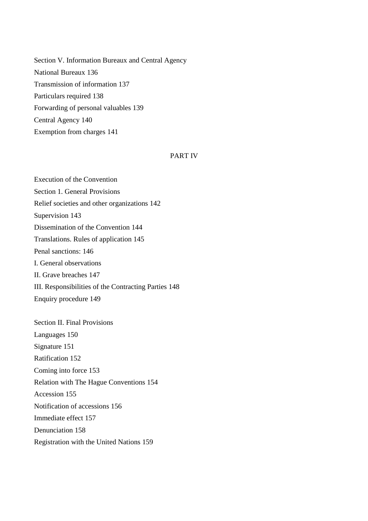Section V. Information Bureaux and Central Agency National Bureaux 136 Transmission of information 137 Particulars required 138 Forwarding of personal valuables 139 Central Agency 140 Exemption from charges 141

#### PART IV

Execution of the Convention Section 1. General Provisions Relief societies and other organizations 142 Supervision 143 Dissemination of the Convention 144 Translations. Rules of application 145 Penal sanctions: 146 I. General observations II. Grave breaches 147 III. Responsibilities of the Contracting Parties 148 Enquiry procedure 149 Section II. Final Provisions Languages 150 Signature 151 Ratification 152 Coming into force 153 Relation with The Hague Conventions 154 Accession 155 Notification of accessions 156 Immediate effect 157 Denunciation 158 Registration with the United Nations 159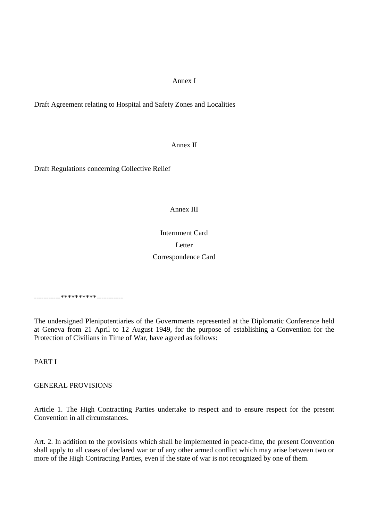# Annex I

Draft Agreement relating to Hospital and Safety Zones and Localities

#### Annex II

Draft Regulations concerning Collective Relief

#### Annex III

Internment Card **Letter** Correspondence Card

-----------\*\*\*\*\*\*\*\*\*\*-----------

The undersigned Plenipotentiaries of the Governments represented at the Diplomatic Conference held at Geneva from 21 April to 12 August 1949, for the purpose of establishing a Convention for the Protection of Civilians in Time of War, have agreed as follows:

PART I

#### GENERAL PROVISIONS

Article 1. The High Contracting Parties undertake to respect and to ensure respect for the present Convention in all circumstances.

Art. 2. In addition to the provisions which shall be implemented in peace-time, the present Convention shall apply to all cases of declared war or of any other armed conflict which may arise between two or more of the High Contracting Parties, even if the state of war is not recognized by one of them.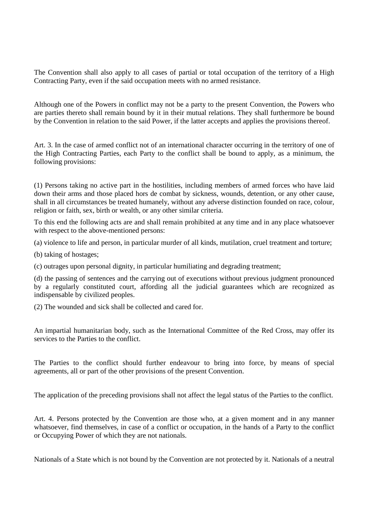The Convention shall also apply to all cases of partial or total occupation of the territory of a High Contracting Party, even if the said occupation meets with no armed resistance.

Although one of the Powers in conflict may not be a party to the present Convention, the Powers who are parties thereto shall remain bound by it in their mutual relations. They shall furthermore be bound by the Convention in relation to the said Power, if the latter accepts and applies the provisions thereof.

Art. 3. In the case of armed conflict not of an international character occurring in the territory of one of the High Contracting Parties, each Party to the conflict shall be bound to apply, as a minimum, the following provisions:

(1) Persons taking no active part in the hostilities, including members of armed forces who have laid down their arms and those placed hors de combat by sickness, wounds, detention, or any other cause, shall in all circumstances be treated humanely, without any adverse distinction founded on race, colour, religion or faith, sex, birth or wealth, or any other similar criteria.

To this end the following acts are and shall remain prohibited at any time and in any place whatsoever with respect to the above-mentioned persons:

(a) violence to life and person, in particular murder of all kinds, mutilation, cruel treatment and torture;

(b) taking of hostages;

(c) outrages upon personal dignity, in particular humiliating and degrading treatment;

(d) the passing of sentences and the carrying out of executions without previous judgment pronounced by a regularly constituted court, affording all the judicial guarantees which are recognized as indispensable by civilized peoples.

(2) The wounded and sick shall be collected and cared for.

An impartial humanitarian body, such as the International Committee of the Red Cross, may offer its services to the Parties to the conflict.

The Parties to the conflict should further endeavour to bring into force, by means of special agreements, all or part of the other provisions of the present Convention.

The application of the preceding provisions shall not affect the legal status of the Parties to the conflict.

Art. 4. Persons protected by the Convention are those who, at a given moment and in any manner whatsoever, find themselves, in case of a conflict or occupation, in the hands of a Party to the conflict or Occupying Power of which they are not nationals.

Nationals of a State which is not bound by the Convention are not protected by it. Nationals of a neutral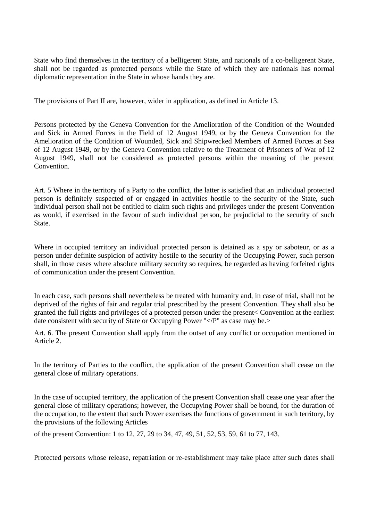State who find themselves in the territory of a belligerent State, and nationals of a co-belligerent State, shall not be regarded as protected persons while the State of which they are nationals has normal diplomatic representation in the State in whose hands they are.

The provisions of Part II are, however, wider in application, as defined in Article 13.

Persons protected by the Geneva Convention for the Amelioration of the Condition of the Wounded and Sick in Armed Forces in the Field of 12 August 1949, or by the Geneva Convention for the Amelioration of the Condition of Wounded, Sick and Shipwrecked Members of Armed Forces at Sea of 12 August 1949, or by the Geneva Convention relative to the Treatment of Prisoners of War of 12 August 1949, shall not be considered as protected persons within the meaning of the present Convention.

Art. 5 Where in the territory of a Party to the conflict, the latter is satisfied that an individual protected person is definitely suspected of or engaged in activities hostile to the security of the State, such individual person shall not be entitled to claim such rights and privileges under the present Convention as would, if exercised in the favour of such individual person, be prejudicial to the security of such State.

Where in occupied territory an individual protected person is detained as a spy or saboteur, or as a person under definite suspicion of activity hostile to the security of the Occupying Power, such person shall, in those cases where absolute military security so requires, be regarded as having forfeited rights of communication under the present Convention.

In each case, such persons shall nevertheless be treated with humanity and, in case of trial, shall not be deprived of the rights of fair and regular trial prescribed by the present Convention. They shall also be granted the full rights and privileges of a protected person under the present< Convention at the earliest date consistent with security of State or Occupying Power "</P" as case may be.>

Art. 6. The present Convention shall apply from the outset of any conflict or occupation mentioned in Article 2.

In the territory of Parties to the conflict, the application of the present Convention shall cease on the general close of military operations.

In the case of occupied territory, the application of the present Convention shall cease one year after the general close of military operations; however, the Occupying Power shall be bound, for the duration of the occupation, to the extent that such Power exercises the functions of government in such territory, by the provisions of the following Articles

of the present Convention: 1 to 12, 27, 29 to 34, 47, 49, 51, 52, 53, 59, 61 to 77, 143.

Protected persons whose release, repatriation or re-establishment may take place after such dates shall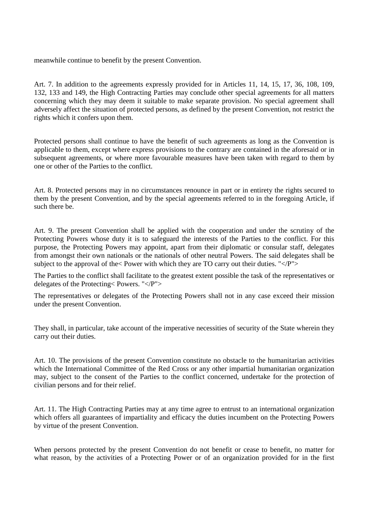meanwhile continue to benefit by the present Convention.

Art. 7. In addition to the agreements expressly provided for in Articles 11, 14, 15, 17, 36, 108, 109, 132, 133 and 149, the High Contracting Parties may conclude other special agreements for all matters concerning which they may deem it suitable to make separate provision. No special agreement shall adversely affect the situation of protected persons, as defined by the present Convention, not restrict the rights which it confers upon them.

Protected persons shall continue to have the benefit of such agreements as long as the Convention is applicable to them, except where express provisions to the contrary are contained in the aforesaid or in subsequent agreements, or where more favourable measures have been taken with regard to them by one or other of the Parties to the conflict.

Art. 8. Protected persons may in no circumstances renounce in part or in entirety the rights secured to them by the present Convention, and by the special agreements referred to in the foregoing Article, if such there be.

Art. 9. The present Convention shall be applied with the cooperation and under the scrutiny of the Protecting Powers whose duty it is to safeguard the interests of the Parties to the conflict. For this purpose, the Protecting Powers may appoint, apart from their diplomatic or consular staff, delegates from amongst their own nationals or the nationals of other neutral Powers. The said delegates shall be subject to the approval of the  $\leq$  Power with which they are TO carry out their duties. " $\lt$ /P" $>$ 

The Parties to the conflict shall facilitate to the greatest extent possible the task of the representatives or delegates of the Protecting< Powers. "</P">

The representatives or delegates of the Protecting Powers shall not in any case exceed their mission under the present Convention.

They shall, in particular, take account of the imperative necessities of security of the State wherein they carry out their duties.

Art. 10. The provisions of the present Convention constitute no obstacle to the humanitarian activities which the International Committee of the Red Cross or any other impartial humanitarian organization may, subject to the consent of the Parties to the conflict concerned, undertake for the protection of civilian persons and for their relief.

Art. 11. The High Contracting Parties may at any time agree to entrust to an international organization which offers all guarantees of impartiality and efficacy the duties incumbent on the Protecting Powers by virtue of the present Convention.

When persons protected by the present Convention do not benefit or cease to benefit, no matter for what reason, by the activities of a Protecting Power or of an organization provided for in the first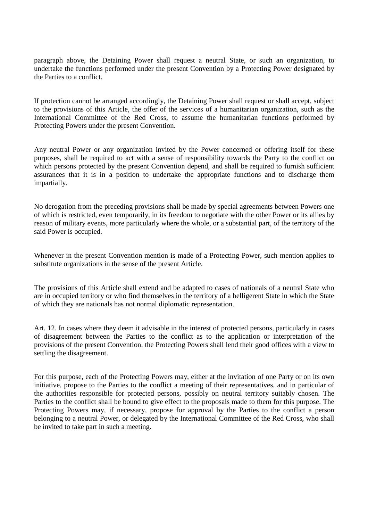paragraph above, the Detaining Power shall request a neutral State, or such an organization, to undertake the functions performed under the present Convention by a Protecting Power designated by the Parties to a conflict.

If protection cannot be arranged accordingly, the Detaining Power shall request or shall accept, subject to the provisions of this Article, the offer of the services of a humanitarian organization, such as the International Committee of the Red Cross, to assume the humanitarian functions performed by Protecting Powers under the present Convention.

Any neutral Power or any organization invited by the Power concerned or offering itself for these purposes, shall be required to act with a sense of responsibility towards the Party to the conflict on which persons protected by the present Convention depend, and shall be required to furnish sufficient assurances that it is in a position to undertake the appropriate functions and to discharge them impartially.

No derogation from the preceding provisions shall be made by special agreements between Powers one of which is restricted, even temporarily, in its freedom to negotiate with the other Power or its allies by reason of military events, more particularly where the whole, or a substantial part, of the territory of the said Power is occupied.

Whenever in the present Convention mention is made of a Protecting Power, such mention applies to substitute organizations in the sense of the present Article.

The provisions of this Article shall extend and be adapted to cases of nationals of a neutral State who are in occupied territory or who find themselves in the territory of a belligerent State in which the State of which they are nationals has not normal diplomatic representation.

Art. 12. In cases where they deem it advisable in the interest of protected persons, particularly in cases of disagreement between the Parties to the conflict as to the application or interpretation of the provisions of the present Convention, the Protecting Powers shall lend their good offices with a view to settling the disagreement.

For this purpose, each of the Protecting Powers may, either at the invitation of one Party or on its own initiative, propose to the Parties to the conflict a meeting of their representatives, and in particular of the authorities responsible for protected persons, possibly on neutral territory suitably chosen. The Parties to the conflict shall be bound to give effect to the proposals made to them for this purpose. The Protecting Powers may, if necessary, propose for approval by the Parties to the conflict a person belonging to a neutral Power, or delegated by the International Committee of the Red Cross, who shall be invited to take part in such a meeting.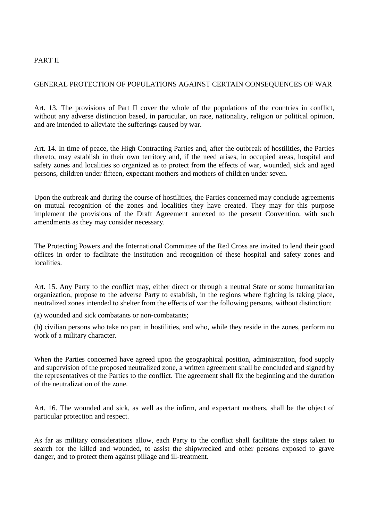# PART II

# GENERAL PROTECTION OF POPULATIONS AGAINST CERTAIN CONSEQUENCES OF WAR

Art. 13. The provisions of Part II cover the whole of the populations of the countries in conflict, without any adverse distinction based, in particular, on race, nationality, religion or political opinion, and are intended to alleviate the sufferings caused by war.

Art. 14. In time of peace, the High Contracting Parties and, after the outbreak of hostilities, the Parties thereto, may establish in their own territory and, if the need arises, in occupied areas, hospital and safety zones and localities so organized as to protect from the effects of war, wounded, sick and aged persons, children under fifteen, expectant mothers and mothers of children under seven.

Upon the outbreak and during the course of hostilities, the Parties concerned may conclude agreements on mutual recognition of the zones and localities they have created. They may for this purpose implement the provisions of the Draft Agreement annexed to the present Convention, with such amendments as they may consider necessary.

The Protecting Powers and the International Committee of the Red Cross are invited to lend their good offices in order to facilitate the institution and recognition of these hospital and safety zones and localities.

Art. 15. Any Party to the conflict may, either direct or through a neutral State or some humanitarian organization, propose to the adverse Party to establish, in the regions where fighting is taking place, neutralized zones intended to shelter from the effects of war the following persons, without distinction:

(a) wounded and sick combatants or non-combatants;

(b) civilian persons who take no part in hostilities, and who, while they reside in the zones, perform no work of a military character.

When the Parties concerned have agreed upon the geographical position, administration, food supply and supervision of the proposed neutralized zone, a written agreement shall be concluded and signed by the representatives of the Parties to the conflict. The agreement shall fix the beginning and the duration of the neutralization of the zone.

Art. 16. The wounded and sick, as well as the infirm, and expectant mothers, shall be the object of particular protection and respect.

As far as military considerations allow, each Party to the conflict shall facilitate the steps taken to search for the killed and wounded, to assist the shipwrecked and other persons exposed to grave danger, and to protect them against pillage and ill-treatment.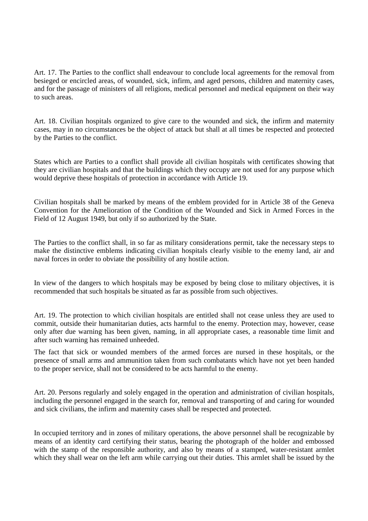Art. 17. The Parties to the conflict shall endeavour to conclude local agreements for the removal from besieged or encircled areas, of wounded, sick, infirm, and aged persons, children and maternity cases, and for the passage of ministers of all religions, medical personnel and medical equipment on their way to such areas.

Art. 18. Civilian hospitals organized to give care to the wounded and sick, the infirm and maternity cases, may in no circumstances be the object of attack but shall at all times be respected and protected by the Parties to the conflict.

States which are Parties to a conflict shall provide all civilian hospitals with certificates showing that they are civilian hospitals and that the buildings which they occupy are not used for any purpose which would deprive these hospitals of protection in accordance with Article 19.

Civilian hospitals shall be marked by means of the emblem provided for in Article 38 of the Geneva Convention for the Amelioration of the Condition of the Wounded and Sick in Armed Forces in the Field of 12 August 1949, but only if so authorized by the State.

The Parties to the conflict shall, in so far as military considerations permit, take the necessary steps to make the distinctive emblems indicating civilian hospitals clearly visible to the enemy land, air and naval forces in order to obviate the possibility of any hostile action.

In view of the dangers to which hospitals may be exposed by being close to military objectives, it is recommended that such hospitals be situated as far as possible from such objectives.

Art. 19. The protection to which civilian hospitals are entitled shall not cease unless they are used to commit, outside their humanitarian duties, acts harmful to the enemy. Protection may, however, cease only after due warning has been given, naming, in all appropriate cases, a reasonable time limit and after such warning has remained unheeded.

The fact that sick or wounded members of the armed forces are nursed in these hospitals, or the presence of small arms and ammunition taken from such combatants which have not yet been handed to the proper service, shall not be considered to be acts harmful to the enemy.

Art. 20. Persons regularly and solely engaged in the operation and administration of civilian hospitals, including the personnel engaged in the search for, removal and transporting of and caring for wounded and sick civilians, the infirm and maternity cases shall be respected and protected.

In occupied territory and in zones of military operations, the above personnel shall be recognizable by means of an identity card certifying their status, bearing the photograph of the holder and embossed with the stamp of the responsible authority, and also by means of a stamped, water-resistant armlet which they shall wear on the left arm while carrying out their duties. This armlet shall be issued by the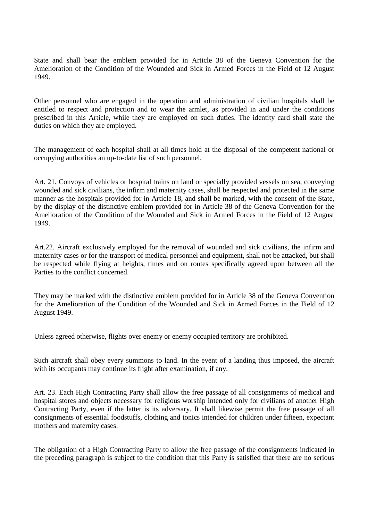State and shall bear the emblem provided for in Article 38 of the Geneva Convention for the Amelioration of the Condition of the Wounded and Sick in Armed Forces in the Field of 12 August 1949.

Other personnel who are engaged in the operation and administration of civilian hospitals shall be entitled to respect and protection and to wear the armlet, as provided in and under the conditions prescribed in this Article, while they are employed on such duties. The identity card shall state the duties on which they are employed.

The management of each hospital shall at all times hold at the disposal of the competent national or occupying authorities an up-to-date list of such personnel.

Art. 21. Convoys of vehicles or hospital trains on land or specially provided vessels on sea, conveying wounded and sick civilians, the infirm and maternity cases, shall be respected and protected in the same manner as the hospitals provided for in Article 18, and shall be marked, with the consent of the State, by the display of the distinctive emblem provided for in Article 38 of the Geneva Convention for the Amelioration of the Condition of the Wounded and Sick in Armed Forces in the Field of 12 August 1949.

Art.22. Aircraft exclusively employed for the removal of wounded and sick civilians, the infirm and maternity cases or for the transport of medical personnel and equipment, shall not be attacked, but shall be respected while flying at heights, times and on routes specifically agreed upon between all the Parties to the conflict concerned.

They may be marked with the distinctive emblem provided for in Article 38 of the Geneva Convention for the Amelioration of the Condition of the Wounded and Sick in Armed Forces in the Field of 12 August 1949.

Unless agreed otherwise, flights over enemy or enemy occupied territory are prohibited.

Such aircraft shall obey every summons to land. In the event of a landing thus imposed, the aircraft with its occupants may continue its flight after examination, if any.

Art. 23. Each High Contracting Party shall allow the free passage of all consignments of medical and hospital stores and objects necessary for religious worship intended only for civilians of another High Contracting Party, even if the latter is its adversary. It shall likewise permit the free passage of all consignments of essential foodstuffs, clothing and tonics intended for children under fifteen, expectant mothers and maternity cases.

The obligation of a High Contracting Party to allow the free passage of the consignments indicated in the preceding paragraph is subject to the condition that this Party is satisfied that there are no serious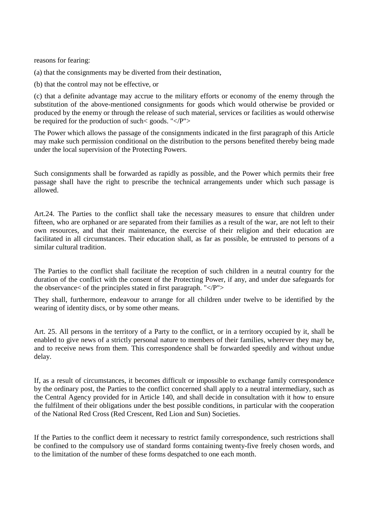reasons for fearing:

(a) that the consignments may be diverted from their destination,

(b) that the control may not be effective, or

(c) that a definite advantage may accrue to the military efforts or economy of the enemy through the substitution of the above-mentioned consignments for goods which would otherwise be provided or produced by the enemy or through the release of such material, services or facilities as would otherwise be required for the production of such  $\langle \text{goods.} \rangle$  " $\langle P \rangle$ ">

The Power which allows the passage of the consignments indicated in the first paragraph of this Article may make such permission conditional on the distribution to the persons benefited thereby being made under the local supervision of the Protecting Powers.

Such consignments shall be forwarded as rapidly as possible, and the Power which permits their free passage shall have the right to prescribe the technical arrangements under which such passage is allowed.

Art.24. The Parties to the conflict shall take the necessary measures to ensure that children under fifteen, who are orphaned or are separated from their families as a result of the war, are not left to their own resources, and that their maintenance, the exercise of their religion and their education are facilitated in all circumstances. Their education shall, as far as possible, be entrusted to persons of a similar cultural tradition.

The Parties to the conflict shall facilitate the reception of such children in a neutral country for the duration of the conflict with the consent of the Protecting Power, if any, and under due safeguards for the observance< of the principles stated in first paragraph. "</P">

They shall, furthermore, endeavour to arrange for all children under twelve to be identified by the wearing of identity discs, or by some other means.

Art. 25. All persons in the territory of a Party to the conflict, or in a territory occupied by it, shall be enabled to give news of a strictly personal nature to members of their families, wherever they may be, and to receive news from them. This correspondence shall be forwarded speedily and without undue delay.

If, as a result of circumstances, it becomes difficult or impossible to exchange family correspondence by the ordinary post, the Parties to the conflict concerned shall apply to a neutral intermediary, such as the Central Agency provided for in Article 140, and shall decide in consultation with it how to ensure the fulfilment of their obligations under the best possible conditions, in particular with the cooperation of the National Red Cross (Red Crescent, Red Lion and Sun) Societies.

If the Parties to the conflict deem it necessary to restrict family correspondence, such restrictions shall be confined to the compulsory use of standard forms containing twenty-five freely chosen words, and to the limitation of the number of these forms despatched to one each month.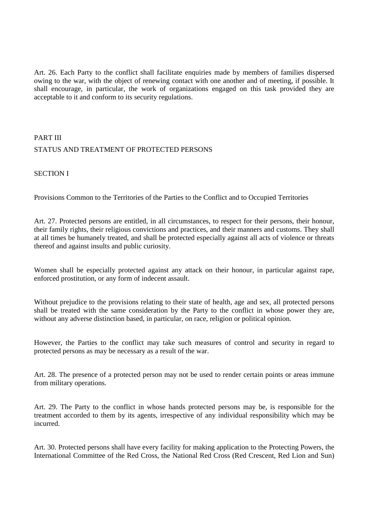Art. 26. Each Party to the conflict shall facilitate enquiries made by members of families dispersed owing to the war, with the object of renewing contact with one another and of meeting, if possible. It shall encourage, in particular, the work of organizations engaged on this task provided they are acceptable to it and conform to its security regulations.

# PART III STATUS AND TREATMENT OF PROTECTED PERSONS

#### SECTION I

Provisions Common to the Territories of the Parties to the Conflict and to Occupied Territories

Art. 27. Protected persons are entitled, in all circumstances, to respect for their persons, their honour, their family rights, their religious convictions and practices, and their manners and customs. They shall at all times be humanely treated, and shall be protected especially against all acts of violence or threats thereof and against insults and public curiosity.

Women shall be especially protected against any attack on their honour, in particular against rape, enforced prostitution, or any form of indecent assault.

Without prejudice to the provisions relating to their state of health, age and sex, all protected persons shall be treated with the same consideration by the Party to the conflict in whose power they are, without any adverse distinction based, in particular, on race, religion or political opinion.

However, the Parties to the conflict may take such measures of control and security in regard to protected persons as may be necessary as a result of the war.

Art. 28. The presence of a protected person may not be used to render certain points or areas immune from military operations.

Art. 29. The Party to the conflict in whose hands protected persons may be, is responsible for the treatment accorded to them by its agents, irrespective of any individual responsibility which may be incurred.

Art. 30. Protected persons shall have every facility for making application to the Protecting Powers, the International Committee of the Red Cross, the National Red Cross (Red Crescent, Red Lion and Sun)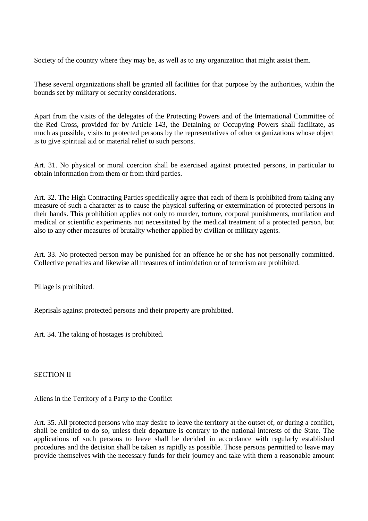Society of the country where they may be, as well as to any organization that might assist them.

These several organizations shall be granted all facilities for that purpose by the authorities, within the bounds set by military or security considerations.

Apart from the visits of the delegates of the Protecting Powers and of the International Committee of the Red Cross, provided for by Article 143, the Detaining or Occupying Powers shall facilitate, as much as possible, visits to protected persons by the representatives of other organizations whose object is to give spiritual aid or material relief to such persons.

Art. 31. No physical or moral coercion shall be exercised against protected persons, in particular to obtain information from them or from third parties.

Art. 32. The High Contracting Parties specifically agree that each of them is prohibited from taking any measure of such a character as to cause the physical suffering or extermination of protected persons in their hands. This prohibition applies not only to murder, torture, corporal punishments, mutilation and medical or scientific experiments not necessitated by the medical treatment of a protected person, but also to any other measures of brutality whether applied by civilian or military agents.

Art. 33. No protected person may be punished for an offence he or she has not personally committed. Collective penalties and likewise all measures of intimidation or of terrorism are prohibited.

Pillage is prohibited.

Reprisals against protected persons and their property are prohibited.

Art. 34. The taking of hostages is prohibited.

SECTION II

Aliens in the Territory of a Party to the Conflict

Art. 35. All protected persons who may desire to leave the territory at the outset of, or during a conflict, shall be entitled to do so, unless their departure is contrary to the national interests of the State. The applications of such persons to leave shall be decided in accordance with regularly established procedures and the decision shall be taken as rapidly as possible. Those persons permitted to leave may provide themselves with the necessary funds for their journey and take with them a reasonable amount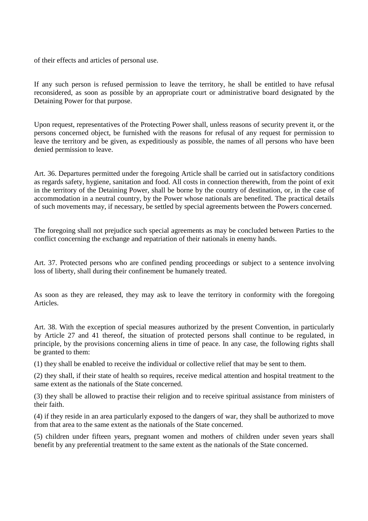of their effects and articles of personal use.

If any such person is refused permission to leave the territory, he shall be entitled to have refusal reconsidered, as soon as possible by an appropriate court or administrative board designated by the Detaining Power for that purpose.

Upon request, representatives of the Protecting Power shall, unless reasons of security prevent it, or the persons concerned object, be furnished with the reasons for refusal of any request for permission to leave the territory and be given, as expeditiously as possible, the names of all persons who have been denied permission to leave.

Art. 36. Departures permitted under the foregoing Article shall be carried out in satisfactory conditions as regards safety, hygiene, sanitation and food. All costs in connection therewith, from the point of exit in the territory of the Detaining Power, shall be borne by the country of destination, or, in the case of accommodation in a neutral country, by the Power whose nationals are benefited. The practical details of such movements may, if necessary, be settled by special agreements between the Powers concerned.

The foregoing shall not prejudice such special agreements as may be concluded between Parties to the conflict concerning the exchange and repatriation of their nationals in enemy hands.

Art. 37. Protected persons who are confined pending proceedings or subject to a sentence involving loss of liberty, shall during their confinement be humanely treated.

As soon as they are released, they may ask to leave the territory in conformity with the foregoing Articles.

Art. 38. With the exception of special measures authorized by the present Convention, in particularly by Article 27 and 41 thereof, the situation of protected persons shall continue to be regulated, in principle, by the provisions concerning aliens in time of peace. In any case, the following rights shall be granted to them:

(1) they shall be enabled to receive the individual or collective relief that may be sent to them.

(2) they shall, if their state of health so requires, receive medical attention and hospital treatment to the same extent as the nationals of the State concerned.

(3) they shall be allowed to practise their religion and to receive spiritual assistance from ministers of their faith.

(4) if they reside in an area particularly exposed to the dangers of war, they shall be authorized to move from that area to the same extent as the nationals of the State concerned.

(5) children under fifteen years, pregnant women and mothers of children under seven years shall benefit by any preferential treatment to the same extent as the nationals of the State concerned.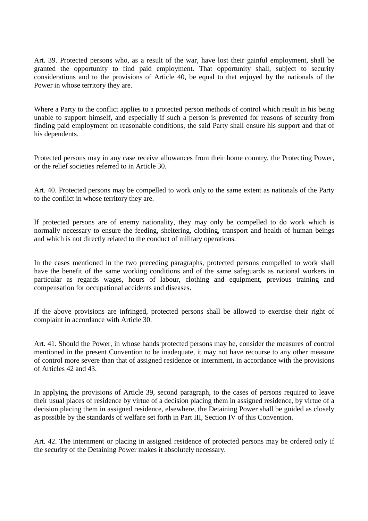Art. 39. Protected persons who, as a result of the war, have lost their gainful employment, shall be granted the opportunity to find paid employment. That opportunity shall, subject to security considerations and to the provisions of Article 40, be equal to that enjoyed by the nationals of the Power in whose territory they are.

Where a Party to the conflict applies to a protected person methods of control which result in his being unable to support himself, and especially if such a person is prevented for reasons of security from finding paid employment on reasonable conditions, the said Party shall ensure his support and that of his dependents.

Protected persons may in any case receive allowances from their home country, the Protecting Power, or the relief societies referred to in Article 30.

Art. 40. Protected persons may be compelled to work only to the same extent as nationals of the Party to the conflict in whose territory they are.

If protected persons are of enemy nationality, they may only be compelled to do work which is normally necessary to ensure the feeding, sheltering, clothing, transport and health of human beings and which is not directly related to the conduct of military operations.

In the cases mentioned in the two preceding paragraphs, protected persons compelled to work shall have the benefit of the same working conditions and of the same safeguards as national workers in particular as regards wages, hours of labour, clothing and equipment, previous training and compensation for occupational accidents and diseases.

If the above provisions are infringed, protected persons shall be allowed to exercise their right of complaint in accordance with Article 30.

Art. 41. Should the Power, in whose hands protected persons may be, consider the measures of control mentioned in the present Convention to be inadequate, it may not have recourse to any other measure of control more severe than that of assigned residence or internment, in accordance with the provisions of Articles 42 and 43.

In applying the provisions of Article 39, second paragraph, to the cases of persons required to leave their usual places of residence by virtue of a decision placing them in assigned residence, by virtue of a decision placing them in assigned residence, elsewhere, the Detaining Power shall be guided as closely as possible by the standards of welfare set forth in Part III, Section IV of this Convention.

Art. 42. The internment or placing in assigned residence of protected persons may be ordered only if the security of the Detaining Power makes it absolutely necessary.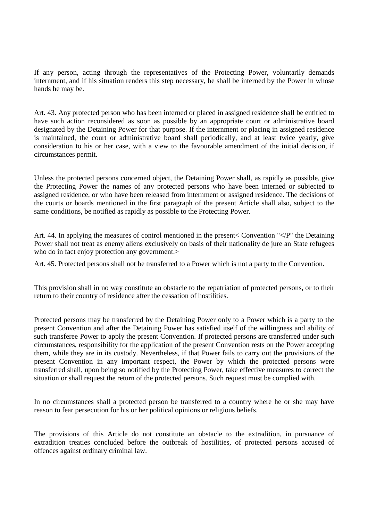If any person, acting through the representatives of the Protecting Power, voluntarily demands internment, and if his situation renders this step necessary, he shall be interned by the Power in whose hands he may be.

Art. 43. Any protected person who has been interned or placed in assigned residence shall be entitled to have such action reconsidered as soon as possible by an appropriate court or administrative board designated by the Detaining Power for that purpose. If the internment or placing in assigned residence is maintained, the court or administrative board shall periodically, and at least twice yearly, give consideration to his or her case, with a view to the favourable amendment of the initial decision, if circumstances permit.

Unless the protected persons concerned object, the Detaining Power shall, as rapidly as possible, give the Protecting Power the names of any protected persons who have been interned or subjected to assigned residence, or who have been released from internment or assigned residence. The decisions of the courts or boards mentioned in the first paragraph of the present Article shall also, subject to the same conditions, be notified as rapidly as possible to the Protecting Power.

Art. 44. In applying the measures of control mentioned in the present< Convention "</P" the Detaining Power shall not treat as enemy aliens exclusively on basis of their nationality de jure an State refugees who do in fact enjoy protection any government.>

Art. 45. Protected persons shall not be transferred to a Power which is not a party to the Convention.

This provision shall in no way constitute an obstacle to the repatriation of protected persons, or to their return to their country of residence after the cessation of hostilities.

Protected persons may be transferred by the Detaining Power only to a Power which is a party to the present Convention and after the Detaining Power has satisfied itself of the willingness and ability of such transferee Power to apply the present Convention. If protected persons are transferred under such circumstances, responsibility for the application of the present Convention rests on the Power accepting them, while they are in its custody. Nevertheless, if that Power fails to carry out the provisions of the present Convention in any important respect, the Power by which the protected persons were transferred shall, upon being so notified by the Protecting Power, take effective measures to correct the situation or shall request the return of the protected persons. Such request must be complied with.

In no circumstances shall a protected person be transferred to a country where he or she may have reason to fear persecution for his or her political opinions or religious beliefs.

The provisions of this Article do not constitute an obstacle to the extradition, in pursuance of extradition treaties concluded before the outbreak of hostilities, of protected persons accused of offences against ordinary criminal law.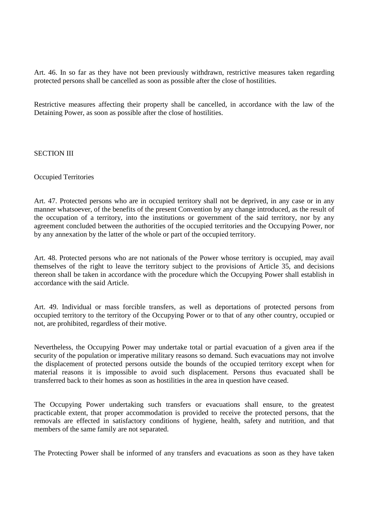Art. 46. In so far as they have not been previously withdrawn, restrictive measures taken regarding protected persons shall be cancelled as soon as possible after the close of hostilities.

Restrictive measures affecting their property shall be cancelled, in accordance with the law of the Detaining Power, as soon as possible after the close of hostilities.

SECTION III

Occupied Territories

Art. 47. Protected persons who are in occupied territory shall not be deprived, in any case or in any manner whatsoever, of the benefits of the present Convention by any change introduced, as the result of the occupation of a territory, into the institutions or government of the said territory, nor by any agreement concluded between the authorities of the occupied territories and the Occupying Power, nor by any annexation by the latter of the whole or part of the occupied territory.

Art. 48. Protected persons who are not nationals of the Power whose territory is occupied, may avail themselves of the right to leave the territory subject to the provisions of Article 35, and decisions thereon shall be taken in accordance with the procedure which the Occupying Power shall establish in accordance with the said Article.

Art. 49. Individual or mass forcible transfers, as well as deportations of protected persons from occupied territory to the territory of the Occupying Power or to that of any other country, occupied or not, are prohibited, regardless of their motive.

Nevertheless, the Occupying Power may undertake total or partial evacuation of a given area if the security of the population or imperative military reasons so demand. Such evacuations may not involve the displacement of protected persons outside the bounds of the occupied territory except when for material reasons it is impossible to avoid such displacement. Persons thus evacuated shall be transferred back to their homes as soon as hostilities in the area in question have ceased.

The Occupying Power undertaking such transfers or evacuations shall ensure, to the greatest practicable extent, that proper accommodation is provided to receive the protected persons, that the removals are effected in satisfactory conditions of hygiene, health, safety and nutrition, and that members of the same family are not separated.

The Protecting Power shall be informed of any transfers and evacuations as soon as they have taken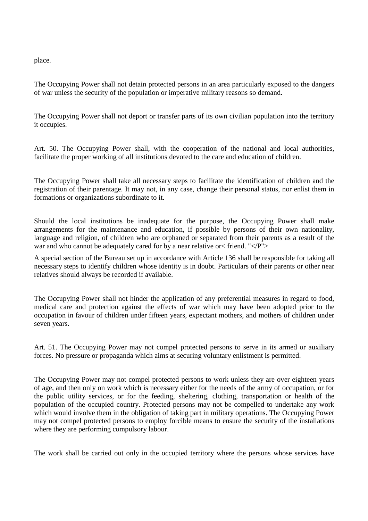place.

The Occupying Power shall not detain protected persons in an area particularly exposed to the dangers of war unless the security of the population or imperative military reasons so demand.

The Occupying Power shall not deport or transfer parts of its own civilian population into the territory it occupies.

Art. 50. The Occupying Power shall, with the cooperation of the national and local authorities, facilitate the proper working of all institutions devoted to the care and education of children.

The Occupying Power shall take all necessary steps to facilitate the identification of children and the registration of their parentage. It may not, in any case, change their personal status, nor enlist them in formations or organizations subordinate to it.

Should the local institutions be inadequate for the purpose, the Occupying Power shall make arrangements for the maintenance and education, if possible by persons of their own nationality, language and religion, of children who are orphaned or separated from their parents as a result of the war and who cannot be adequately cared for by a near relative or  $\epsilon$  friend. " $\langle P'' \rangle$ "

A special section of the Bureau set up in accordance with Article 136 shall be responsible for taking all necessary steps to identify children whose identity is in doubt. Particulars of their parents or other near relatives should always be recorded if available.

The Occupying Power shall not hinder the application of any preferential measures in regard to food, medical care and protection against the effects of war which may have been adopted prior to the occupation in favour of children under fifteen years, expectant mothers, and mothers of children under seven years.

Art. 51. The Occupying Power may not compel protected persons to serve in its armed or auxiliary forces. No pressure or propaganda which aims at securing voluntary enlistment is permitted.

The Occupying Power may not compel protected persons to work unless they are over eighteen years of age, and then only on work which is necessary either for the needs of the army of occupation, or for the public utility services, or for the feeding, sheltering, clothing, transportation or health of the population of the occupied country. Protected persons may not be compelled to undertake any work which would involve them in the obligation of taking part in military operations. The Occupying Power may not compel protected persons to employ forcible means to ensure the security of the installations where they are performing compulsory labour.

The work shall be carried out only in the occupied territory where the persons whose services have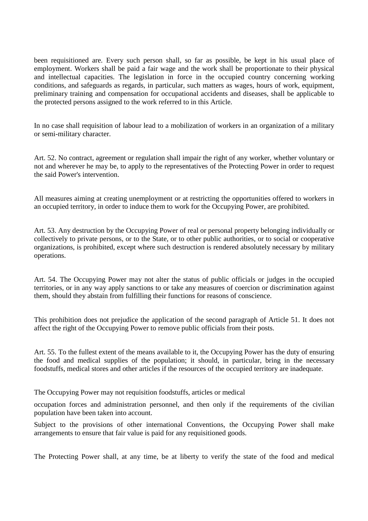been requisitioned are. Every such person shall, so far as possible, be kept in his usual place of employment. Workers shall be paid a fair wage and the work shall be proportionate to their physical and intellectual capacities. The legislation in force in the occupied country concerning working conditions, and safeguards as regards, in particular, such matters as wages, hours of work, equipment, preliminary training and compensation for occupational accidents and diseases, shall be applicable to the protected persons assigned to the work referred to in this Article.

In no case shall requisition of labour lead to a mobilization of workers in an organization of a military or semi-military character.

Art. 52. No contract, agreement or regulation shall impair the right of any worker, whether voluntary or not and wherever he may be, to apply to the representatives of the Protecting Power in order to request the said Power's intervention.

All measures aiming at creating unemployment or at restricting the opportunities offered to workers in an occupied territory, in order to induce them to work for the Occupying Power, are prohibited.

Art. 53. Any destruction by the Occupying Power of real or personal property belonging individually or collectively to private persons, or to the State, or to other public authorities, or to social or cooperative organizations, is prohibited, except where such destruction is rendered absolutely necessary by military operations.

Art. 54. The Occupying Power may not alter the status of public officials or judges in the occupied territories, or in any way apply sanctions to or take any measures of coercion or discrimination against them, should they abstain from fulfilling their functions for reasons of conscience.

This prohibition does not prejudice the application of the second paragraph of Article 51. It does not affect the right of the Occupying Power to remove public officials from their posts.

Art. 55. To the fullest extent of the means available to it, the Occupying Power has the duty of ensuring the food and medical supplies of the population; it should, in particular, bring in the necessary foodstuffs, medical stores and other articles if the resources of the occupied territory are inadequate.

The Occupying Power may not requisition foodstuffs, articles or medical

occupation forces and administration personnel, and then only if the requirements of the civilian population have been taken into account.

Subject to the provisions of other international Conventions, the Occupying Power shall make arrangements to ensure that fair value is paid for any requisitioned goods.

The Protecting Power shall, at any time, be at liberty to verify the state of the food and medical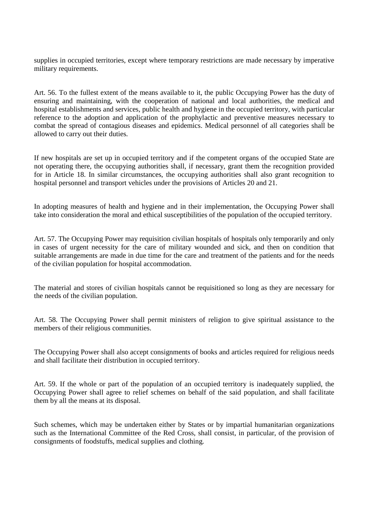supplies in occupied territories, except where temporary restrictions are made necessary by imperative military requirements.

Art. 56. To the fullest extent of the means available to it, the public Occupying Power has the duty of ensuring and maintaining, with the cooperation of national and local authorities, the medical and hospital establishments and services, public health and hygiene in the occupied territory, with particular reference to the adoption and application of the prophylactic and preventive measures necessary to combat the spread of contagious diseases and epidemics. Medical personnel of all categories shall be allowed to carry out their duties.

If new hospitals are set up in occupied territory and if the competent organs of the occupied State are not operating there, the occupying authorities shall, if necessary, grant them the recognition provided for in Article 18. In similar circumstances, the occupying authorities shall also grant recognition to hospital personnel and transport vehicles under the provisions of Articles 20 and 21.

In adopting measures of health and hygiene and in their implementation, the Occupying Power shall take into consideration the moral and ethical susceptibilities of the population of the occupied territory.

Art. 57. The Occupying Power may requisition civilian hospitals of hospitals only temporarily and only in cases of urgent necessity for the care of military wounded and sick, and then on condition that suitable arrangements are made in due time for the care and treatment of the patients and for the needs of the civilian population for hospital accommodation.

The material and stores of civilian hospitals cannot be requisitioned so long as they are necessary for the needs of the civilian population.

Art. 58. The Occupying Power shall permit ministers of religion to give spiritual assistance to the members of their religious communities.

The Occupying Power shall also accept consignments of books and articles required for religious needs and shall facilitate their distribution in occupied territory.

Art. 59. If the whole or part of the population of an occupied territory is inadequately supplied, the Occupying Power shall agree to relief schemes on behalf of the said population, and shall facilitate them by all the means at its disposal.

Such schemes, which may be undertaken either by States or by impartial humanitarian organizations such as the International Committee of the Red Cross, shall consist, in particular, of the provision of consignments of foodstuffs, medical supplies and clothing.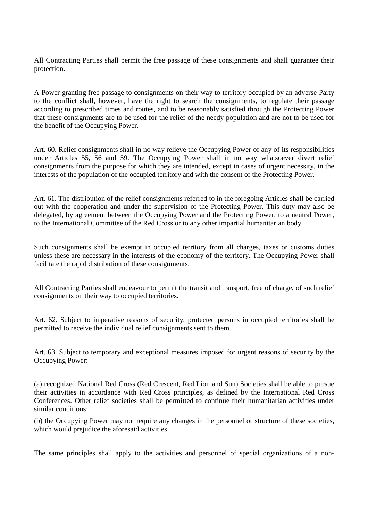All Contracting Parties shall permit the free passage of these consignments and shall guarantee their protection.

A Power granting free passage to consignments on their way to territory occupied by an adverse Party to the conflict shall, however, have the right to search the consignments, to regulate their passage according to prescribed times and routes, and to be reasonably satisfied through the Protecting Power that these consignments are to be used for the relief of the needy population and are not to be used for the benefit of the Occupying Power.

Art. 60. Relief consignments shall in no way relieve the Occupying Power of any of its responsibilities under Articles 55, 56 and 59. The Occupying Power shall in no way whatsoever divert relief consignments from the purpose for which they are intended, except in cases of urgent necessity, in the interests of the population of the occupied territory and with the consent of the Protecting Power.

Art. 61. The distribution of the relief consignments referred to in the foregoing Articles shall be carried out with the cooperation and under the supervision of the Protecting Power. This duty may also be delegated, by agreement between the Occupying Power and the Protecting Power, to a neutral Power, to the International Committee of the Red Cross or to any other impartial humanitarian body.

Such consignments shall be exempt in occupied territory from all charges, taxes or customs duties unless these are necessary in the interests of the economy of the territory. The Occupying Power shall facilitate the rapid distribution of these consignments.

All Contracting Parties shall endeavour to permit the transit and transport, free of charge, of such relief consignments on their way to occupied territories.

Art. 62. Subject to imperative reasons of security, protected persons in occupied territories shall be permitted to receive the individual relief consignments sent to them.

Art. 63. Subject to temporary and exceptional measures imposed for urgent reasons of security by the Occupying Power:

(a) recognized National Red Cross (Red Crescent, Red Lion and Sun) Societies shall be able to pursue their activities in accordance with Red Cross principles, as defined by the International Red Cross Conferences. Other relief societies shall be permitted to continue their humanitarian activities under similar conditions;

(b) the Occupying Power may not require any changes in the personnel or structure of these societies, which would prejudice the aforesaid activities.

The same principles shall apply to the activities and personnel of special organizations of a non-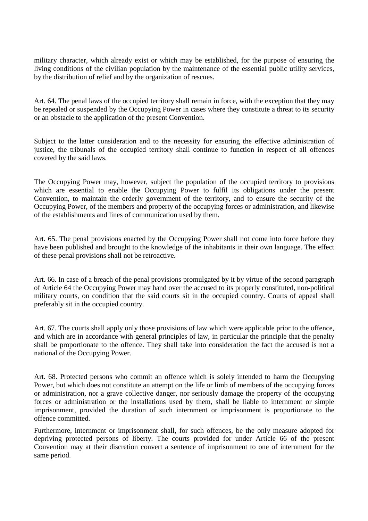military character, which already exist or which may be established, for the purpose of ensuring the living conditions of the civilian population by the maintenance of the essential public utility services, by the distribution of relief and by the organization of rescues.

Art. 64. The penal laws of the occupied territory shall remain in force, with the exception that they may be repealed or suspended by the Occupying Power in cases where they constitute a threat to its security or an obstacle to the application of the present Convention.

Subject to the latter consideration and to the necessity for ensuring the effective administration of justice, the tribunals of the occupied territory shall continue to function in respect of all offences covered by the said laws.

The Occupying Power may, however, subject the population of the occupied territory to provisions which are essential to enable the Occupying Power to fulfil its obligations under the present Convention, to maintain the orderly government of the territory, and to ensure the security of the Occupying Power, of the members and property of the occupying forces or administration, and likewise of the establishments and lines of communication used by them.

Art. 65. The penal provisions enacted by the Occupying Power shall not come into force before they have been published and brought to the knowledge of the inhabitants in their own language. The effect of these penal provisions shall not be retroactive.

Art. 66. In case of a breach of the penal provisions promulgated by it by virtue of the second paragraph of Article 64 the Occupying Power may hand over the accused to its properly constituted, non-political military courts, on condition that the said courts sit in the occupied country. Courts of appeal shall preferably sit in the occupied country.

Art. 67. The courts shall apply only those provisions of law which were applicable prior to the offence, and which are in accordance with general principles of law, in particular the principle that the penalty shall be proportionate to the offence. They shall take into consideration the fact the accused is not a national of the Occupying Power.

Art. 68. Protected persons who commit an offence which is solely intended to harm the Occupying Power, but which does not constitute an attempt on the life or limb of members of the occupying forces or administration, nor a grave collective danger, nor seriously damage the property of the occupying forces or administration or the installations used by them, shall be liable to internment or simple imprisonment, provided the duration of such internment or imprisonment is proportionate to the offence committed.

Furthermore, internment or imprisonment shall, for such offences, be the only measure adopted for depriving protected persons of liberty. The courts provided for under Article 66 of the present Convention may at their discretion convert a sentence of imprisonment to one of internment for the same period.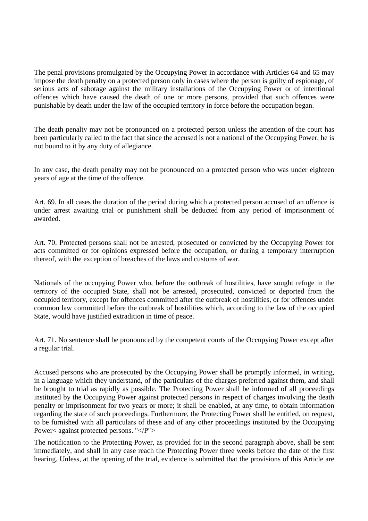The penal provisions promulgated by the Occupying Power in accordance with Articles 64 and 65 may impose the death penalty on a protected person only in cases where the person is guilty of espionage, of serious acts of sabotage against the military installations of the Occupying Power or of intentional offences which have caused the death of one or more persons, provided that such offences were punishable by death under the law of the occupied territory in force before the occupation began.

The death penalty may not be pronounced on a protected person unless the attention of the court has been particularly called to the fact that since the accused is not a national of the Occupying Power, he is not bound to it by any duty of allegiance.

In any case, the death penalty may not be pronounced on a protected person who was under eighteen years of age at the time of the offence.

Art. 69. In all cases the duration of the period during which a protected person accused of an offence is under arrest awaiting trial or punishment shall be deducted from any period of imprisonment of awarded.

Art. 70. Protected persons shall not be arrested, prosecuted or convicted by the Occupying Power for acts committed or for opinions expressed before the occupation, or during a temporary interruption thereof, with the exception of breaches of the laws and customs of war.

Nationals of the occupying Power who, before the outbreak of hostilities, have sought refuge in the territory of the occupied State, shall not be arrested, prosecuted, convicted or deported from the occupied territory, except for offences committed after the outbreak of hostilities, or for offences under common law committed before the outbreak of hostilities which, according to the law of the occupied State, would have justified extradition in time of peace.

Art. 71. No sentence shall be pronounced by the competent courts of the Occupying Power except after a regular trial.

Accused persons who are prosecuted by the Occupying Power shall be promptly informed, in writing, in a language which they understand, of the particulars of the charges preferred against them, and shall be brought to trial as rapidly as possible. The Protecting Power shall be informed of all proceedings instituted by the Occupying Power against protected persons in respect of charges involving the death penalty or imprisonment for two years or more; it shall be enabled, at any time, to obtain information regarding the state of such proceedings. Furthermore, the Protecting Power shall be entitled, on request, to be furnished with all particulars of these and of any other proceedings instituted by the Occupying Power< against protected persons. "</P">

The notification to the Protecting Power, as provided for in the second paragraph above, shall be sent immediately, and shall in any case reach the Protecting Power three weeks before the date of the first hearing. Unless, at the opening of the trial, evidence is submitted that the provisions of this Article are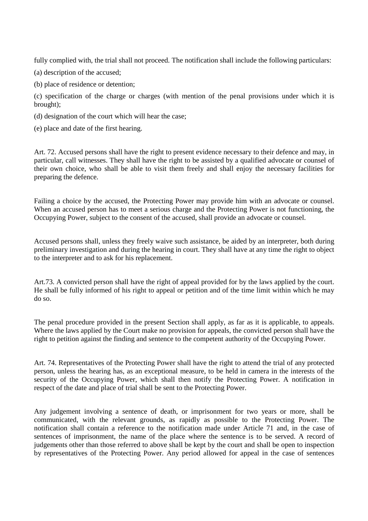fully complied with, the trial shall not proceed. The notification shall include the following particulars:

(a) description of the accused;

(b) place of residence or detention;

(c) specification of the charge or charges (with mention of the penal provisions under which it is brought);

(d) designation of the court which will hear the case;

(e) place and date of the first hearing.

Art. 72. Accused persons shall have the right to present evidence necessary to their defence and may, in particular, call witnesses. They shall have the right to be assisted by a qualified advocate or counsel of their own choice, who shall be able to visit them freely and shall enjoy the necessary facilities for preparing the defence.

Failing a choice by the accused, the Protecting Power may provide him with an advocate or counsel. When an accused person has to meet a serious charge and the Protecting Power is not functioning, the Occupying Power, subject to the consent of the accused, shall provide an advocate or counsel.

Accused persons shall, unless they freely waive such assistance, be aided by an interpreter, both during preliminary investigation and during the hearing in court. They shall have at any time the right to object to the interpreter and to ask for his replacement.

Art.73. A convicted person shall have the right of appeal provided for by the laws applied by the court. He shall be fully informed of his right to appeal or petition and of the time limit within which he may do so.

The penal procedure provided in the present Section shall apply, as far as it is applicable, to appeals. Where the laws applied by the Court make no provision for appeals, the convicted person shall have the right to petition against the finding and sentence to the competent authority of the Occupying Power.

Art. 74. Representatives of the Protecting Power shall have the right to attend the trial of any protected person, unless the hearing has, as an exceptional measure, to be held in camera in the interests of the security of the Occupying Power, which shall then notify the Protecting Power. A notification in respect of the date and place of trial shall be sent to the Protecting Power.

Any judgement involving a sentence of death, or imprisonment for two years or more, shall be communicated, with the relevant grounds, as rapidly as possible to the Protecting Power. The notification shall contain a reference to the notification made under Article 71 and, in the case of sentences of imprisonment, the name of the place where the sentence is to be served. A record of judgements other than those referred to above shall be kept by the court and shall be open to inspection by representatives of the Protecting Power. Any period allowed for appeal in the case of sentences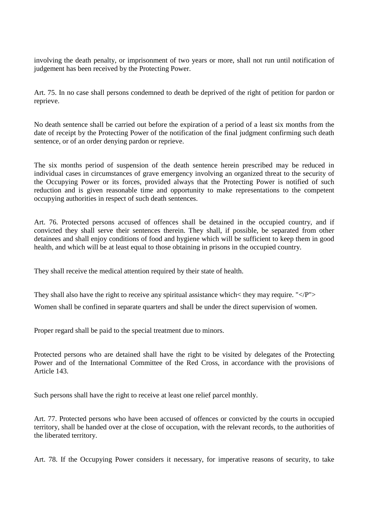involving the death penalty, or imprisonment of two years or more, shall not run until notification of judgement has been received by the Protecting Power.

Art. 75. In no case shall persons condemned to death be deprived of the right of petition for pardon or reprieve.

No death sentence shall be carried out before the expiration of a period of a least six months from the date of receipt by the Protecting Power of the notification of the final judgment confirming such death sentence, or of an order denying pardon or reprieve.

The six months period of suspension of the death sentence herein prescribed may be reduced in individual cases in circumstances of grave emergency involving an organized threat to the security of the Occupying Power or its forces, provided always that the Protecting Power is notified of such reduction and is given reasonable time and opportunity to make representations to the competent occupying authorities in respect of such death sentences.

Art. 76. Protected persons accused of offences shall be detained in the occupied country, and if convicted they shall serve their sentences therein. They shall, if possible, be separated from other detainees and shall enjoy conditions of food and hygiene which will be sufficient to keep them in good health, and which will be at least equal to those obtaining in prisons in the occupied country.

They shall receive the medical attention required by their state of health.

They shall also have the right to receive any spiritual assistance which  $\lt$  they may require. " $\lt$ / $P$ " $>$ Women shall be confined in separate quarters and shall be under the direct supervision of women.

Proper regard shall be paid to the special treatment due to minors.

Protected persons who are detained shall have the right to be visited by delegates of the Protecting Power and of the International Committee of the Red Cross, in accordance with the provisions of Article 143.

Such persons shall have the right to receive at least one relief parcel monthly.

Art. 77. Protected persons who have been accused of offences or convicted by the courts in occupied territory, shall be handed over at the close of occupation, with the relevant records, to the authorities of the liberated territory.

Art. 78. If the Occupying Power considers it necessary, for imperative reasons of security, to take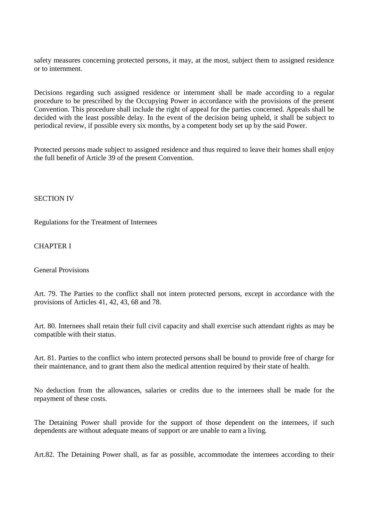safety measures concerning protected persons, it may, at the most, subject them to assigned residence or to internment.

Decisions regarding such assigned residence or internment shall be made according to a regular procedure to be prescribed by the Occupying Power in accordance with the provisions of the present Convention. This procedure shall include the right of appeal for the parties concerned. Appeals shall be decided with the least possible delay. In the event of the decision being upheld, it shall be subject to periodical review, if possible every six months, by a competent body set up by the said Power.

Protected persons made subject to assigned residence and thus required to leave their homes shall enjoy the full benefit of Article 39 of the present Convention.

SECTION IV

Regulations for the Treatment of Internees

CHAPTER I

General Provisions

Art. 79. The Parties to the conflict shall not intern protected persons, except in accordance with the provisions of Articles 41, 42, 43, 68 and 78.

Art. 80. Internees shall retain their full civil capacity and shall exercise such attendant rights as may be compatible with their status.

Art. 81. Parties to the conflict who intern protected persons shall be bound to provide free of charge for their maintenance, and to grant them also the medical attention required by their state of health.

No deduction from the allowances, salaries or credits due to the internees shall be made for the repayment of these costs.

The Detaining Power shall provide for the support of those dependent on the internees, if such dependents are without adequate means of support or are unable to earn a living.

Art.82. The Detaining Power shall, as far as possible, accommodate the internees according to their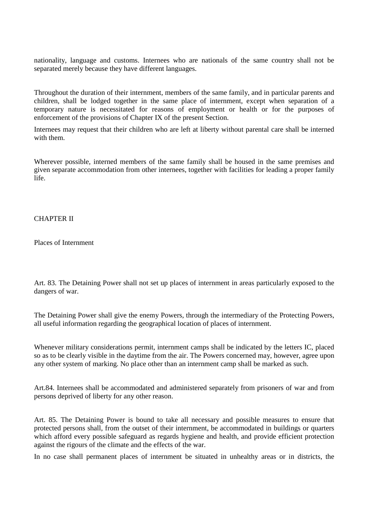nationality, language and customs. Internees who are nationals of the same country shall not be separated merely because they have different languages.

Throughout the duration of their internment, members of the same family, and in particular parents and children, shall be lodged together in the same place of internment, except when separation of a temporary nature is necessitated for reasons of employment or health or for the purposes of enforcement of the provisions of Chapter IX of the present Section.

Internees may request that their children who are left at liberty without parental care shall be interned with them.

Wherever possible, interned members of the same family shall be housed in the same premises and given separate accommodation from other internees, together with facilities for leading a proper family life.

# CHAPTER II

Places of Internment

Art. 83. The Detaining Power shall not set up places of internment in areas particularly exposed to the dangers of war.

The Detaining Power shall give the enemy Powers, through the intermediary of the Protecting Powers, all useful information regarding the geographical location of places of internment.

Whenever military considerations permit, internment camps shall be indicated by the letters IC, placed so as to be clearly visible in the daytime from the air. The Powers concerned may, however, agree upon any other system of marking. No place other than an internment camp shall be marked as such.

Art.84. Internees shall be accommodated and administered separately from prisoners of war and from persons deprived of liberty for any other reason.

Art. 85. The Detaining Power is bound to take all necessary and possible measures to ensure that protected persons shall, from the outset of their internment, be accommodated in buildings or quarters which afford every possible safeguard as regards hygiene and health, and provide efficient protection against the rigours of the climate and the effects of the war.

In no case shall permanent places of internment be situated in unhealthy areas or in districts, the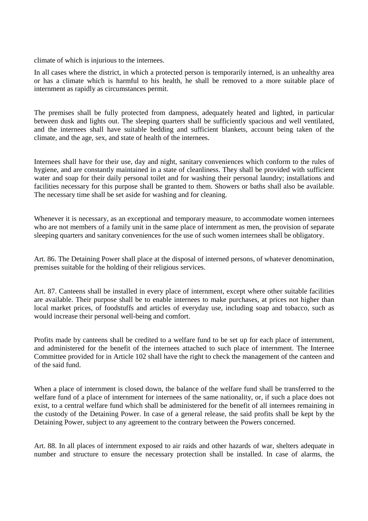climate of which is injurious to the internees.

In all cases where the district, in which a protected person is temporarily interned, is an unhealthy area or has a climate which is harmful to his health, he shall be removed to a more suitable place of internment as rapidly as circumstances permit.

The premises shall be fully protected from dampness, adequately heated and lighted, in particular between dusk and lights out. The sleeping quarters shall be sufficiently spacious and well ventilated, and the internees shall have suitable bedding and sufficient blankets, account being taken of the climate, and the age, sex, and state of health of the internees.

Internees shall have for their use, day and night, sanitary conveniences which conform to the rules of hygiene, and are constantly maintained in a state of cleanliness. They shall be provided with sufficient water and soap for their daily personal toilet and for washing their personal laundry; installations and facilities necessary for this purpose shall be granted to them. Showers or baths shall also be available. The necessary time shall be set aside for washing and for cleaning.

Whenever it is necessary, as an exceptional and temporary measure, to accommodate women internees who are not members of a family unit in the same place of internment as men, the provision of separate sleeping quarters and sanitary conveniences for the use of such women internees shall be obligatory.

Art. 86. The Detaining Power shall place at the disposal of interned persons, of whatever denomination, premises suitable for the holding of their religious services.

Art. 87. Canteens shall be installed in every place of internment, except where other suitable facilities are available. Their purpose shall be to enable internees to make purchases, at prices not higher than local market prices, of foodstuffs and articles of everyday use, including soap and tobacco, such as would increase their personal well-being and comfort.

Profits made by canteens shall be credited to a welfare fund to be set up for each place of internment, and administered for the benefit of the internees attached to such place of internment. The Internee Committee provided for in Article 102 shall have the right to check the management of the canteen and of the said fund.

When a place of internment is closed down, the balance of the welfare fund shall be transferred to the welfare fund of a place of internment for internees of the same nationality, or, if such a place does not exist, to a central welfare fund which shall be administered for the benefit of all internees remaining in the custody of the Detaining Power. In case of a general release, the said profits shall be kept by the Detaining Power, subject to any agreement to the contrary between the Powers concerned.

Art. 88. In all places of internment exposed to air raids and other hazards of war, shelters adequate in number and structure to ensure the necessary protection shall be installed. In case of alarms, the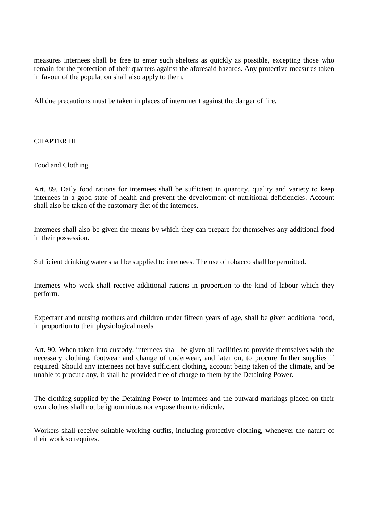measures internees shall be free to enter such shelters as quickly as possible, excepting those who remain for the protection of their quarters against the aforesaid hazards. Any protective measures taken in favour of the population shall also apply to them.

All due precautions must be taken in places of internment against the danger of fire.

# CHAPTER III

# Food and Clothing

Art. 89. Daily food rations for internees shall be sufficient in quantity, quality and variety to keep internees in a good state of health and prevent the development of nutritional deficiencies. Account shall also be taken of the customary diet of the internees.

Internees shall also be given the means by which they can prepare for themselves any additional food in their possession.

Sufficient drinking water shall be supplied to internees. The use of tobacco shall be permitted.

Internees who work shall receive additional rations in proportion to the kind of labour which they perform.

Expectant and nursing mothers and children under fifteen years of age, shall be given additional food, in proportion to their physiological needs.

Art. 90. When taken into custody, internees shall be given all facilities to provide themselves with the necessary clothing, footwear and change of underwear, and later on, to procure further supplies if required. Should any internees not have sufficient clothing, account being taken of the climate, and be unable to procure any, it shall be provided free of charge to them by the Detaining Power.

The clothing supplied by the Detaining Power to internees and the outward markings placed on their own clothes shall not be ignominious nor expose them to ridicule.

Workers shall receive suitable working outfits, including protective clothing, whenever the nature of their work so requires.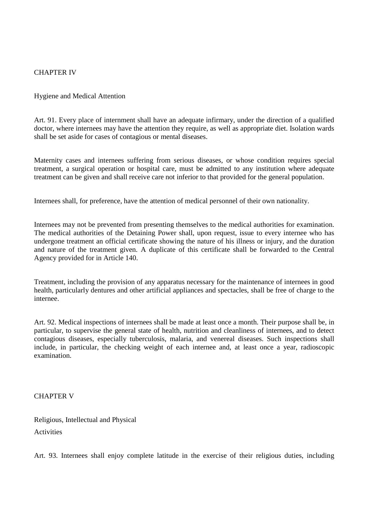# CHAPTER IV

#### Hygiene and Medical Attention

Art. 91. Every place of internment shall have an adequate infirmary, under the direction of a qualified doctor, where internees may have the attention they require, as well as appropriate diet. Isolation wards shall be set aside for cases of contagious or mental diseases.

Maternity cases and internees suffering from serious diseases, or whose condition requires special treatment, a surgical operation or hospital care, must be admitted to any institution where adequate treatment can be given and shall receive care not inferior to that provided for the general population.

Internees shall, for preference, have the attention of medical personnel of their own nationality.

Internees may not be prevented from presenting themselves to the medical authorities for examination. The medical authorities of the Detaining Power shall, upon request, issue to every internee who has undergone treatment an official certificate showing the nature of his illness or injury, and the duration and nature of the treatment given. A duplicate of this certificate shall be forwarded to the Central Agency provided for in Article 140.

Treatment, including the provision of any apparatus necessary for the maintenance of internees in good health, particularly dentures and other artificial appliances and spectacles, shall be free of charge to the internee.

Art. 92. Medical inspections of internees shall be made at least once a month. Their purpose shall be, in particular, to supervise the general state of health, nutrition and cleanliness of internees, and to detect contagious diseases, especially tuberculosis, malaria, and venereal diseases. Such inspections shall include, in particular, the checking weight of each internee and, at least once a year, radioscopic examination.

CHAPTER V

Religious, Intellectual and Physical **Activities** 

Art. 93. Internees shall enjoy complete latitude in the exercise of their religious duties, including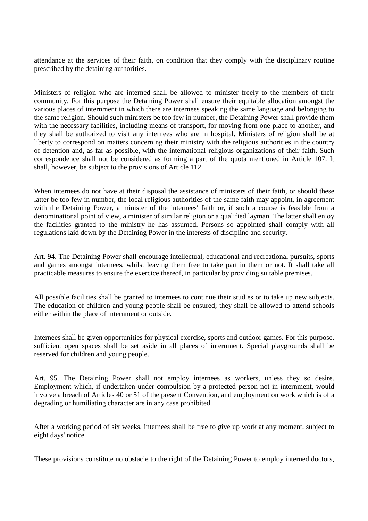attendance at the services of their faith, on condition that they comply with the disciplinary routine prescribed by the detaining authorities.

Ministers of religion who are interned shall be allowed to minister freely to the members of their community. For this purpose the Detaining Power shall ensure their equitable allocation amongst the various places of internment in which there are internees speaking the same language and belonging to the same religion. Should such ministers be too few in number, the Detaining Power shall provide them with the necessary facilities, including means of transport, for moving from one place to another, and they shall be authorized to visit any internees who are in hospital. Ministers of religion shall be at liberty to correspond on matters concerning their ministry with the religious authorities in the country of detention and, as far as possible, with the international religious organizations of their faith. Such correspondence shall not be considered as forming a part of the quota mentioned in Article 107. It shall, however, be subject to the provisions of Article 112.

When internees do not have at their disposal the assistance of ministers of their faith, or should these latter be too few in number, the local religious authorities of the same faith may appoint, in agreement with the Detaining Power, a minister of the internees' faith or, if such a course is feasible from a denominational point of view, a minister of similar religion or a qualified layman. The latter shall enjoy the facilities granted to the ministry he has assumed. Persons so appointed shall comply with all regulations laid down by the Detaining Power in the interests of discipline and security.

Art. 94. The Detaining Power shall encourage intellectual, educational and recreational pursuits, sports and games amongst internees, whilst leaving them free to take part in them or not. It shall take all practicable measures to ensure the exercice thereof, in particular by providing suitable premises.

All possible facilities shall be granted to internees to continue their studies or to take up new subjects. The education of children and young people shall be ensured; they shall be allowed to attend schools either within the place of internment or outside.

Internees shall be given opportunities for physical exercise, sports and outdoor games. For this purpose, sufficient open spaces shall be set aside in all places of internment. Special playgrounds shall be reserved for children and young people.

Art. 95. The Detaining Power shall not employ internees as workers, unless they so desire. Employment which, if undertaken under compulsion by a protected person not in internment, would involve a breach of Articles 40 or 51 of the present Convention, and employment on work which is of a degrading or humiliating character are in any case prohibited.

After a working period of six weeks, internees shall be free to give up work at any moment, subject to eight days' notice.

These provisions constitute no obstacle to the right of the Detaining Power to employ interned doctors,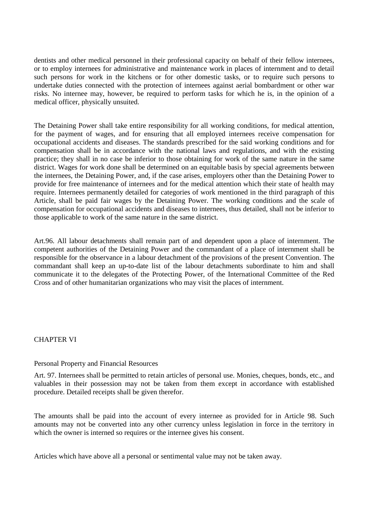dentists and other medical personnel in their professional capacity on behalf of their fellow internees, or to employ internees for administrative and maintenance work in places of internment and to detail such persons for work in the kitchens or for other domestic tasks, or to require such persons to undertake duties connected with the protection of internees against aerial bombardment or other war risks. No internee may, however, be required to perform tasks for which he is, in the opinion of a medical officer, physically unsuited.

The Detaining Power shall take entire responsibility for all working conditions, for medical attention, for the payment of wages, and for ensuring that all employed internees receive compensation for occupational accidents and diseases. The standards prescribed for the said working conditions and for compensation shall be in accordance with the national laws and regulations, and with the existing practice; they shall in no case be inferior to those obtaining for work of the same nature in the same district. Wages for work done shall be determined on an equitable basis by special agreements between the internees, the Detaining Power, and, if the case arises, employers other than the Detaining Power to provide for free maintenance of internees and for the medical attention which their state of health may require. Internees permanently detailed for categories of work mentioned in the third paragraph of this Article, shall be paid fair wages by the Detaining Power. The working conditions and the scale of compensation for occupational accidents and diseases to internees, thus detailed, shall not be inferior to those applicable to work of the same nature in the same district.

Art.96. All labour detachments shall remain part of and dependent upon a place of internment. The competent authorities of the Detaining Power and the commandant of a place of internment shall be responsible for the observance in a labour detachment of the provisions of the present Convention. The commandant shall keep an up-to-date list of the labour detachments subordinate to him and shall communicate it to the delegates of the Protecting Power, of the International Committee of the Red Cross and of other humanitarian organizations who may visit the places of internment.

# CHAPTER VI

Personal Property and Financial Resources

Art. 97. Internees shall be permitted to retain articles of personal use. Monies, cheques, bonds, etc., and valuables in their possession may not be taken from them except in accordance with established procedure. Detailed receipts shall be given therefor.

The amounts shall be paid into the account of every internee as provided for in Article 98. Such amounts may not be converted into any other currency unless legislation in force in the territory in which the owner is interned so requires or the internee gives his consent.

Articles which have above all a personal or sentimental value may not be taken away.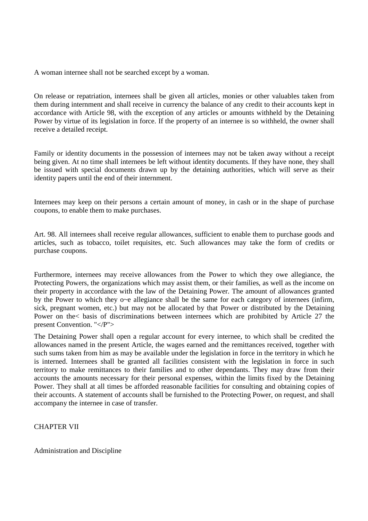A woman internee shall not be searched except by a woman.

On release or repatriation, internees shall be given all articles, monies or other valuables taken from them during internment and shall receive in currency the balance of any credit to their accounts kept in accordance with Article 98, with the exception of any articles or amounts withheld by the Detaining Power by virtue of its legislation in force. If the property of an internee is so withheld, the owner shall receive a detailed receipt.

Family or identity documents in the possession of internees may not be taken away without a receipt being given. At no time shall internees be left without identity documents. If they have none, they shall be issued with special documents drawn up by the detaining authorities, which will serve as their identity papers until the end of their internment.

Internees may keep on their persons a certain amount of money, in cash or in the shape of purchase coupons, to enable them to make purchases.

Art. 98. All internees shall receive regular allowances, sufficient to enable them to purchase goods and articles, such as tobacco, toilet requisites, etc. Such allowances may take the form of credits or purchase coupons.

Furthermore, internees may receive allowances from the Power to which they owe allegiance, the Protecting Powers, the organizations which may assist them, or their families, as well as the income on their property in accordance with the law of the Detaining Power. The amount of allowances granted by the Power to which they o~e allegiance shall be the same for each category of internees (infirm, sick, pregnant women, etc.) but may not be allocated by that Power or distributed by the Detaining Power on the< basis of discriminations between internees which are prohibited by Article 27 the present Convention. "</P">

The Detaining Power shall open a regular account for every internee, to which shall be credited the allowances named in the present Article, the wages earned and the remittances received, together with such sums taken from him as may be available under the legislation in force in the territory in which he is interned. Internees shall be granted all facilities consistent with the legislation in force in such territory to make remittances to their families and to other dependants. They may draw from their accounts the amounts necessary for their personal expenses, within the limits fixed by the Detaining Power. They shall at all times be afforded reasonable facilities for consulting and obtaining copies of their accounts. A statement of accounts shall be furnished to the Protecting Power, on request, and shall accompany the internee in case of transfer.

# CHAPTER VII

Administration and Discipline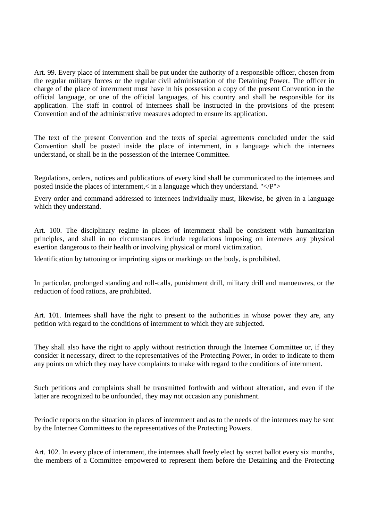Art. 99. Every place of internment shall be put under the authority of a responsible officer, chosen from the regular military forces or the regular civil administration of the Detaining Power. The officer in charge of the place of internment must have in his possession a copy of the present Convention in the official language, or one of the official languages, of his country and shall be responsible for its application. The staff in control of internees shall be instructed in the provisions of the present Convention and of the administrative measures adopted to ensure its application.

The text of the present Convention and the texts of special agreements concluded under the said Convention shall be posted inside the place of internment, in a language which the internees understand, or shall be in the possession of the Internee Committee.

Regulations, orders, notices and publications of every kind shall be communicated to the internees and posted inside the places of internment,  $\langle$  in a language which they understand. " $\langle P'' \rangle$ "

Every order and command addressed to internees individually must, likewise, be given in a language which they understand.

Art. 100. The disciplinary regime in places of internment shall be consistent with humanitarian principles, and shall in no circumstances include regulations imposing on internees any physical exertion dangerous to their health or involving physical or moral victimization.

Identification by tattooing or imprinting signs or markings on the body, is prohibited.

In particular, prolonged standing and roll-calls, punishment drill, military drill and manoeuvres, or the reduction of food rations, are prohibited.

Art. 101. Internees shall have the right to present to the authorities in whose power they are, any petition with regard to the conditions of internment to which they are subjected.

They shall also have the right to apply without restriction through the Internee Committee or, if they consider it necessary, direct to the representatives of the Protecting Power, in order to indicate to them any points on which they may have complaints to make with regard to the conditions of internment.

Such petitions and complaints shall be transmitted forthwith and without alteration, and even if the latter are recognized to be unfounded, they may not occasion any punishment.

Periodic reports on the situation in places of internment and as to the needs of the internees may be sent by the Internee Committees to the representatives of the Protecting Powers.

Art. 102. In every place of internment, the internees shall freely elect by secret ballot every six months, the members of a Committee empowered to represent them before the Detaining and the Protecting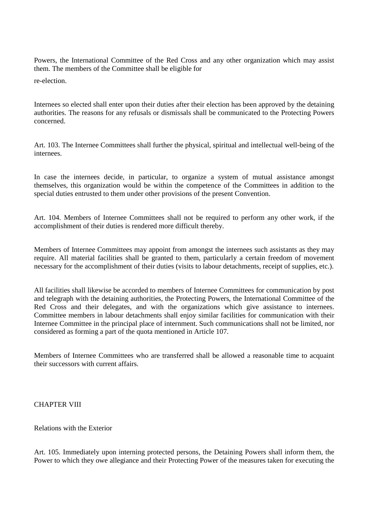Powers, the International Committee of the Red Cross and any other organization which may assist them. The members of the Committee shall be eligible for

re-election.

Internees so elected shall enter upon their duties after their election has been approved by the detaining authorities. The reasons for any refusals or dismissals shall be communicated to the Protecting Powers concerned.

Art. 103. The Internee Committees shall further the physical, spiritual and intellectual well-being of the internees.

In case the internees decide, in particular, to organize a system of mutual assistance amongst themselves, this organization would be within the competence of the Committees in addition to the special duties entrusted to them under other provisions of the present Convention.

Art. 104. Members of Internee Committees shall not be required to perform any other work, if the accomplishment of their duties is rendered more difficult thereby.

Members of Internee Committees may appoint from amongst the internees such assistants as they may require. All material facilities shall be granted to them, particularly a certain freedom of movement necessary for the accomplishment of their duties (visits to labour detachments, receipt of supplies, etc.).

All facilities shall likewise be accorded to members of Internee Committees for communication by post and telegraph with the detaining authorities, the Protecting Powers, the International Committee of the Red Cross and their delegates, and with the organizations which give assistance to internees. Committee members in labour detachments shall enjoy similar facilities for communication with their Internee Committee in the principal place of internment. Such communications shall not be limited, nor considered as forming a part of the quota mentioned in Article 107.

Members of Internee Committees who are transferred shall be allowed a reasonable time to acquaint their successors with current affairs.

# CHAPTER VIII

Relations with the Exterior

Art. 105. Immediately upon interning protected persons, the Detaining Powers shall inform them, the Power to which they owe allegiance and their Protecting Power of the measures taken for executing the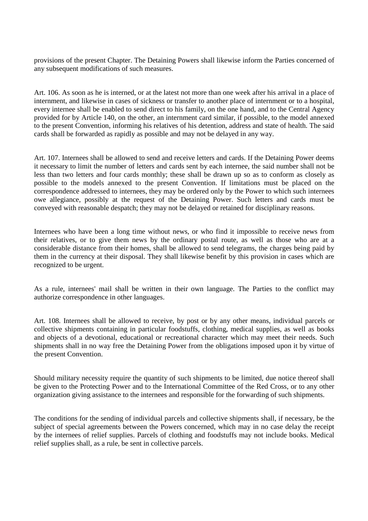provisions of the present Chapter. The Detaining Powers shall likewise inform the Parties concerned of any subsequent modifications of such measures.

Art. 106. As soon as he is interned, or at the latest not more than one week after his arrival in a place of internment, and likewise in cases of sickness or transfer to another place of internment or to a hospital, every internee shall be enabled to send direct to his family, on the one hand, and to the Central Agency provided for by Article 140, on the other, an internment card similar, if possible, to the model annexed to the present Convention, informing his relatives of his detention, address and state of health. The said cards shall be forwarded as rapidly as possible and may not be delayed in any way.

Art. 107. Internees shall be allowed to send and receive letters and cards. If the Detaining Power deems it necessary to limit the number of letters and cards sent by each internee, the said number shall not be less than two letters and four cards monthly; these shall be drawn up so as to conform as closely as possible to the models annexed to the present Convention. If limitations must be placed on the correspondence addressed to internees, they may be ordered only by the Power to which such internees owe allegiance, possibly at the request of the Detaining Power. Such letters and cards must be conveyed with reasonable despatch; they may not be delayed or retained for disciplinary reasons.

Internees who have been a long time without news, or who find it impossible to receive news from their relatives, or to give them news by the ordinary postal route, as well as those who are at a considerable distance from their homes, shall be allowed to send telegrams, the charges being paid by them in the currency at their disposal. They shall likewise benefit by this provision in cases which are recognized to be urgent.

As a rule, internees' mail shall be written in their own language. The Parties to the conflict may authorize correspondence in other languages.

Art. 108. Internees shall be allowed to receive, by post or by any other means, individual parcels or collective shipments containing in particular foodstuffs, clothing, medical supplies, as well as books and objects of a devotional, educational or recreational character which may meet their needs. Such shipments shall in no way free the Detaining Power from the obligations imposed upon it by virtue of the present Convention.

Should military necessity require the quantity of such shipments to be limited, due notice thereof shall be given to the Protecting Power and to the International Committee of the Red Cross, or to any other organization giving assistance to the internees and responsible for the forwarding of such shipments.

The conditions for the sending of individual parcels and collective shipments shall, if necessary, be the subject of special agreements between the Powers concerned, which may in no case delay the receipt by the internees of relief supplies. Parcels of clothing and foodstuffs may not include books. Medical relief supplies shall, as a rule, be sent in collective parcels.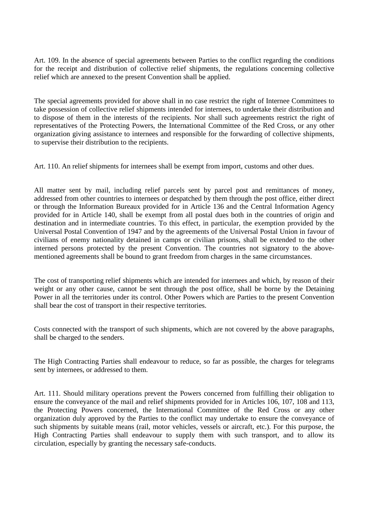Art. 109. In the absence of special agreements between Parties to the conflict regarding the conditions for the receipt and distribution of collective relief shipments, the regulations concerning collective relief which are annexed to the present Convention shall be applied.

The special agreements provided for above shall in no case restrict the right of Internee Committees to take possession of collective relief shipments intended for internees, to undertake their distribution and to dispose of them in the interests of the recipients. Nor shall such agreements restrict the right of representatives of the Protecting Powers, the International Committee of the Red Cross, or any other organization giving assistance to internees and responsible for the forwarding of collective shipments, to supervise their distribution to the recipients.

Art. 110. An relief shipments for internees shall be exempt from import, customs and other dues.

All matter sent by mail, including relief parcels sent by parcel post and remittances of money, addressed from other countries to internees or despatched by them through the post office, either direct or through the Information Bureaux provided for in Article 136 and the Central Information Agency provided for in Article 140, shall be exempt from all postal dues both in the countries of origin and destination and in intermediate countries. To this effect, in particular, the exemption provided by the Universal Postal Convention of 1947 and by the agreements of the Universal Postal Union in favour of civilians of enemy nationality detained in camps or civilian prisons, shall be extended to the other interned persons protected by the present Convention. The countries not signatory to the abovementioned agreements shall be bound to grant freedom from charges in the same circumstances.

The cost of transporting relief shipments which are intended for internees and which, by reason of their weight or any other cause, cannot be sent through the post office, shall be borne by the Detaining Power in all the territories under its control. Other Powers which are Parties to the present Convention shall bear the cost of transport in their respective territories.

Costs connected with the transport of such shipments, which are not covered by the above paragraphs, shall be charged to the senders.

The High Contracting Parties shall endeavour to reduce, so far as possible, the charges for telegrams sent by internees, or addressed to them.

Art. 111. Should military operations prevent the Powers concerned from fulfilling their obligation to ensure the conveyance of the mail and relief shipments provided for in Articles 106, 107, 108 and 113, the Protecting Powers concerned, the International Committee of the Red Cross or any other organization duly approved by the Parties to the conflict may undertake to ensure the conveyance of such shipments by suitable means (rail, motor vehicles, vessels or aircraft, etc.). For this purpose, the High Contracting Parties shall endeavour to supply them with such transport, and to allow its circulation, especially by granting the necessary safe-conducts.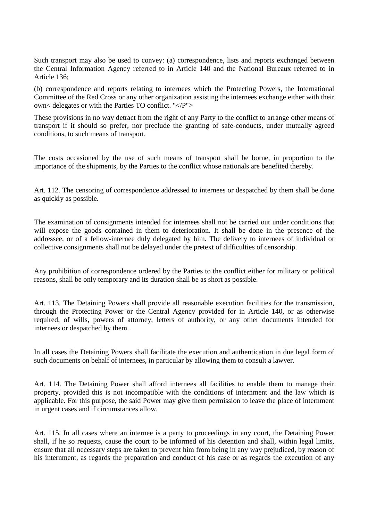Such transport may also be used to convey: (a) correspondence, lists and reports exchanged between the Central Information Agency referred to in Article 140 and the National Bureaux referred to in Article 136;

(b) correspondence and reports relating to internees which the Protecting Powers, the International Committee of the Red Cross or any other organization assisting the internees exchange either with their own< delegates or with the Parties TO conflict. "</P">

These provisions in no way detract from the right of any Party to the conflict to arrange other means of transport if it should so prefer, nor preclude the granting of safe-conducts, under mutually agreed conditions, to such means of transport.

The costs occasioned by the use of such means of transport shall be borne, in proportion to the importance of the shipments, by the Parties to the conflict whose nationals are benefited thereby.

Art. 112. The censoring of correspondence addressed to internees or despatched by them shall be done as quickly as possible.

The examination of consignments intended for internees shall not be carried out under conditions that will expose the goods contained in them to deterioration. It shall be done in the presence of the addressee, or of a fellow-internee duly delegated by him. The delivery to internees of individual or collective consignments shall not be delayed under the pretext of difficulties of censorship.

Any prohibition of correspondence ordered by the Parties to the conflict either for military or political reasons, shall be only temporary and its duration shall be as short as possible.

Art. 113. The Detaining Powers shall provide all reasonable execution facilities for the transmission, through the Protecting Power or the Central Agency provided for in Article 140, or as otherwise required, of wills, powers of attorney, letters of authority, or any other documents intended for internees or despatched by them.

In all cases the Detaining Powers shall facilitate the execution and authentication in due legal form of such documents on behalf of internees, in particular by allowing them to consult a lawyer.

Art. 114. The Detaining Power shall afford internees all facilities to enable them to manage their property, provided this is not incompatible with the conditions of internment and the law which is applicable. For this purpose, the said Power may give them permission to leave the place of internment in urgent cases and if circumstances allow.

Art. 115. In all cases where an internee is a party to proceedings in any court, the Detaining Power shall, if he so requests, cause the court to be informed of his detention and shall, within legal limits, ensure that all necessary steps are taken to prevent him from being in any way prejudiced, by reason of his internment, as regards the preparation and conduct of his case or as regards the execution of any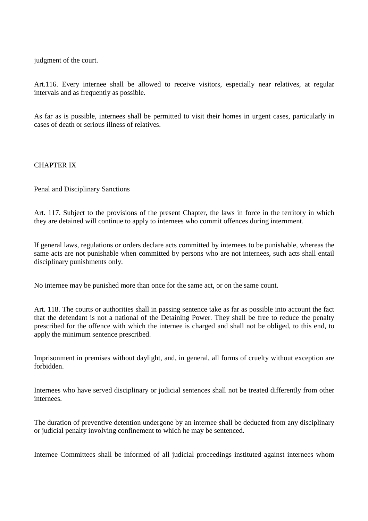judgment of the court.

Art.116. Every internee shall be allowed to receive visitors, especially near relatives, at regular intervals and as frequently as possible.

As far as is possible, internees shall be permitted to visit their homes in urgent cases, particularly in cases of death or serious illness of relatives.

# CHAPTER IX

Penal and Disciplinary Sanctions

Art. 117. Subject to the provisions of the present Chapter, the laws in force in the territory in which they are detained will continue to apply to internees who commit offences during internment.

If general laws, regulations or orders declare acts committed by internees to be punishable, whereas the same acts are not punishable when committed by persons who are not internees, such acts shall entail disciplinary punishments only.

No internee may be punished more than once for the same act, or on the same count.

Art. 118. The courts or authorities shall in passing sentence take as far as possible into account the fact that the defendant is not a national of the Detaining Power. They shall be free to reduce the penalty prescribed for the offence with which the internee is charged and shall not be obliged, to this end, to apply the minimum sentence prescribed.

Imprisonment in premises without daylight, and, in general, all forms of cruelty without exception are forbidden.

Internees who have served disciplinary or judicial sentences shall not be treated differently from other internees.

The duration of preventive detention undergone by an internee shall be deducted from any disciplinary or judicial penalty involving confinement to which he may be sentenced.

Internee Committees shall be informed of all judicial proceedings instituted against internees whom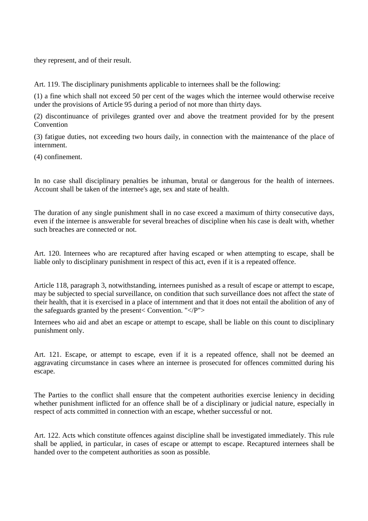they represent, and of their result.

Art. 119. The disciplinary punishments applicable to internees shall be the following:

(1) a fine which shall not exceed 50 per cent of the wages which the internee would otherwise receive under the provisions of Article 95 during a period of not more than thirty days.

(2) discontinuance of privileges granted over and above the treatment provided for by the present Convention

(3) fatigue duties, not exceeding two hours daily, in connection with the maintenance of the place of internment.

(4) confinement.

In no case shall disciplinary penalties be inhuman, brutal or dangerous for the health of internees. Account shall be taken of the internee's age, sex and state of health.

The duration of any single punishment shall in no case exceed a maximum of thirty consecutive days, even if the internee is answerable for several breaches of discipline when his case is dealt with, whether such breaches are connected or not.

Art. 120. Internees who are recaptured after having escaped or when attempting to escape, shall be liable only to disciplinary punishment in respect of this act, even if it is a repeated offence.

Article 118, paragraph 3, notwithstanding, internees punished as a result of escape or attempt to escape, may be subjected to special surveillance, on condition that such surveillance does not affect the state of their health, that it is exercised in a place of internment and that it does not entail the abolition of any of the safeguards granted by the present< Convention. "</P">

Internees who aid and abet an escape or attempt to escape, shall be liable on this count to disciplinary punishment only.

Art. 121. Escape, or attempt to escape, even if it is a repeated offence, shall not be deemed an aggravating circumstance in cases where an internee is prosecuted for offences committed during his escape.

The Parties to the conflict shall ensure that the competent authorities exercise leniency in deciding whether punishment inflicted for an offence shall be of a disciplinary or judicial nature, especially in respect of acts committed in connection with an escape, whether successful or not.

Art. 122. Acts which constitute offences against discipline shall be investigated immediately. This rule shall be applied, in particular, in cases of escape or attempt to escape. Recaptured internees shall be handed over to the competent authorities as soon as possible.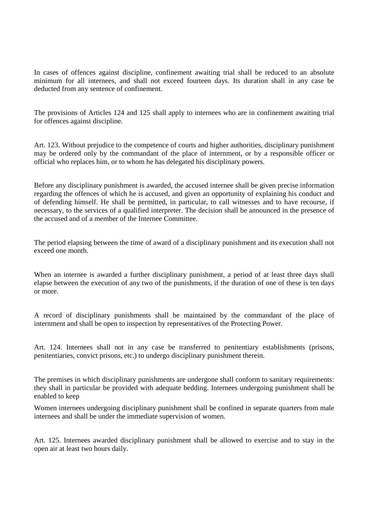In cases of offences against discipline, confinement awaiting trial shall be reduced to an absolute minimum for all internees, and shall not exceed fourteen days. Its duration shall in any case be deducted from any sentence of confinement.

The provisions of Articles 124 and 125 shall apply to internees who are in confinement awaiting trial for offences against discipline.

Art. 123. Without prejudice to the competence of courts and higher authorities, disciplinary punishment may be ordered only by the commandant of the place of internment, or by a responsible officer or official who replaces him, or to whom he has delegated his disciplinary powers.

Before any disciplinary punishment is awarded, the accused internee shall be given precise information regarding the offences of which he is accused, and given an opportunity of explaining his conduct and of defending himself. He shall be permitted, in particular, to call witnesses and to have recourse, if necessary, to the services of a qualified interpreter. The decision shall be announced in the presence of the accused and of a member of the Internee Committee.

The period elapsing between the time of award of a disciplinary punishment and its execution shall not exceed one month.

When an internee is awarded a further disciplinary punishment, a period of at least three days shall elapse between the execution of any two of the punishments, if the duration of one of these is ten days or more.

A record of disciplinary punishments shall be maintained by the commandant of the place of internment and shall be open to inspection by representatives of the Protecting Power.

Art. 124. Internees shall not in any case be transferred to penitentiary establishments (prisons, penitentiaries, convict prisons, etc.) to undergo disciplinary punishment therein.

The premises in which disciplinary punishments are undergone shall conform to sanitary requirements: they shall in particular be provided with adequate bedding. Internees undergoing punishment shall be enabled to keep

Women internees undergoing disciplinary punishment shall be confined in separate quarters from male internees and shall be under the immediate supervision of women.

Art. 125. Internees awarded disciplinary punishment shall be allowed to exercise and to stay in the open air at least two hours daily.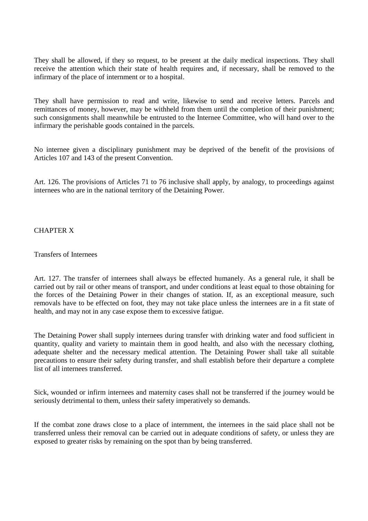They shall be allowed, if they so request, to be present at the daily medical inspections. They shall receive the attention which their state of health requires and, if necessary, shall be removed to the infirmary of the place of internment or to a hospital.

They shall have permission to read and write, likewise to send and receive letters. Parcels and remittances of money, however, may be withheld from them until the completion of their punishment; such consignments shall meanwhile be entrusted to the Internee Committee, who will hand over to the infirmary the perishable goods contained in the parcels.

No internee given a disciplinary punishment may be deprived of the benefit of the provisions of Articles 107 and 143 of the present Convention.

Art. 126. The provisions of Articles 71 to 76 inclusive shall apply, by analogy, to proceedings against internees who are in the national territory of the Detaining Power.

CHAPTER X

Transfers of Internees

Art. 127. The transfer of internees shall always be effected humanely. As a general rule, it shall be carried out by rail or other means of transport, and under conditions at least equal to those obtaining for the forces of the Detaining Power in their changes of station. If, as an exceptional measure, such removals have to be effected on foot, they may not take place unless the internees are in a fit state of health, and may not in any case expose them to excessive fatigue.

The Detaining Power shall supply internees during transfer with drinking water and food sufficient in quantity, quality and variety to maintain them in good health, and also with the necessary clothing, adequate shelter and the necessary medical attention. The Detaining Power shall take all suitable precautions to ensure their safety during transfer, and shall establish before their departure a complete list of all internees transferred.

Sick, wounded or infirm internees and maternity cases shall not be transferred if the journey would be seriously detrimental to them, unless their safety imperatively so demands.

If the combat zone draws close to a place of internment, the internees in the said place shall not be transferred unless their removal can be carried out in adequate conditions of safety, or unless they are exposed to greater risks by remaining on the spot than by being transferred.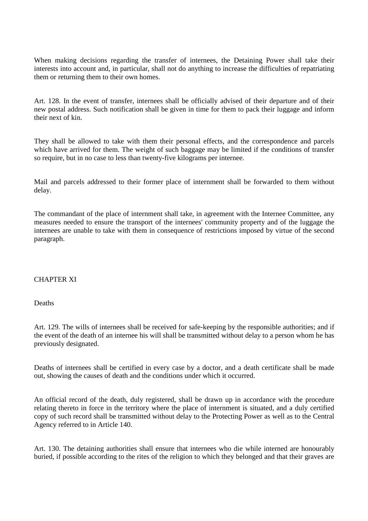When making decisions regarding the transfer of internees, the Detaining Power shall take their interests into account and, in particular, shall not do anything to increase the difficulties of repatriating them or returning them to their own homes.

Art. 128. In the event of transfer, internees shall be officially advised of their departure and of their new postal address. Such notification shall be given in time for them to pack their luggage and inform their next of kin.

They shall be allowed to take with them their personal effects, and the correspondence and parcels which have arrived for them. The weight of such baggage may be limited if the conditions of transfer so require, but in no case to less than twenty-five kilograms per internee.

Mail and parcels addressed to their former place of internment shall be forwarded to them without delay.

The commandant of the place of internment shall take, in agreement with the Internee Committee, any measures needed to ensure the transport of the internees' community property and of the luggage the internees are unable to take with them in consequence of restrictions imposed by virtue of the second paragraph.

# CHAPTER XI

Deaths

Art. 129. The wills of internees shall be received for safe-keeping by the responsible authorities; and if the event of the death of an internee his will shall be transmitted without delay to a person whom he has previously designated.

Deaths of internees shall be certified in every case by a doctor, and a death certificate shall be made out, showing the causes of death and the conditions under which it occurred.

An official record of the death, duly registered, shall be drawn up in accordance with the procedure relating thereto in force in the territory where the place of internment is situated, and a duly certified copy of such record shall be transmitted without delay to the Protecting Power as well as to the Central Agency referred to in Article 140.

Art. 130. The detaining authorities shall ensure that internees who die while interned are honourably buried, if possible according to the rites of the religion to which they belonged and that their graves are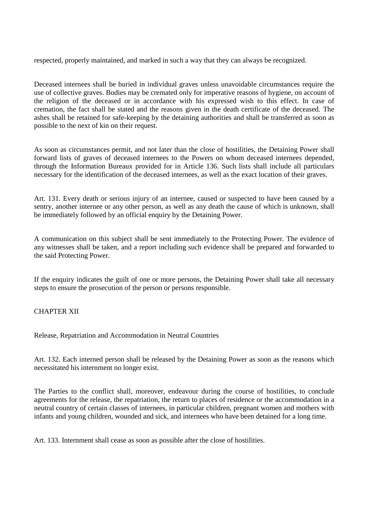respected, properly maintained, and marked in such a way that they can always be recognized.

Deceased internees shall be buried in individual graves unless unavoidable circumstances require the use of collective graves. Bodies may be cremated only for imperative reasons of hygiene, on account of the religion of the deceased or in accordance with his expressed wish to this effect. In case of cremation, the fact shall be stated and the reasons given in the death certificate of the deceased. The ashes shall be retained for safe-keeping by the detaining authorities and shall be transferred as soon as possible to the next of kin on their request.

As soon as circumstances permit, and not later than the close of hostilities, the Detaining Power shall forward lists of graves of deceased internees to the Powers on whom deceased internees depended, through the Information Bureaux provided for in Article 136. Such lists shall include all particulars necessary for the identification of the deceased internees, as well as the exact location of their graves.

Art. 131. Every death or serious injury of an internee, caused or suspected to have been caused by a sentry, another internee or any other person, as well as any death the cause of which is unknown, shall be immediately followed by an official enquiry by the Detaining Power.

A communication on this subject shall be sent immediately to the Protecting Power. The evidence of any witnesses shall be taken, and a report including such evidence shall be prepared and forwarded to the said Protecting Power.

If the enquiry indicates the guilt of one or more persons, the Detaining Power shall take all necessary steps to ensure the prosecution of the person or persons responsible.

# CHAPTER XII

Release, Repatriation and Accommodation in Neutral Countries

Art. 132. Each interned person shall be released by the Detaining Power as soon as the reasons which necessitated his internment no longer exist.

The Parties to the conflict shall, moreover, endeavour during the course of hostilities, to conclude agreements for the release, the repatriation, the return to places of residence or the accommodation in a neutral country of certain classes of internees, in particular children, pregnant women and mothers with infants and young children, wounded and sick, and internees who have been detained for a long time.

Art. 133. Internment shall cease as soon as possible after the close of hostilities.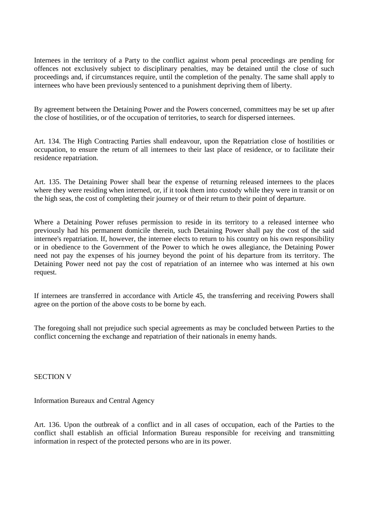Internees in the territory of a Party to the conflict against whom penal proceedings are pending for offences not exclusively subject to disciplinary penalties, may be detained until the close of such proceedings and, if circumstances require, until the completion of the penalty. The same shall apply to internees who have been previously sentenced to a punishment depriving them of liberty.

By agreement between the Detaining Power and the Powers concerned, committees may be set up after the close of hostilities, or of the occupation of territories, to search for dispersed internees.

Art. 134. The High Contracting Parties shall endeavour, upon the Repatriation close of hostilities or occupation, to ensure the return of all internees to their last place of residence, or to facilitate their residence repatriation.

Art. 135. The Detaining Power shall bear the expense of returning released internees to the places where they were residing when interned, or, if it took them into custody while they were in transit or on the high seas, the cost of completing their journey or of their return to their point of departure.

Where a Detaining Power refuses permission to reside in its territory to a released internee who previously had his permanent domicile therein, such Detaining Power shall pay the cost of the said internee's repatriation. If, however, the internee elects to return to his country on his own responsibility or in obedience to the Government of the Power to which he owes allegiance, the Detaining Power need not pay the expenses of his journey beyond the point of his departure from its territory. The Detaining Power need not pay the cost of repatriation of an internee who was interned at his own request.

If internees are transferred in accordance with Article 45, the transferring and receiving Powers shall agree on the portion of the above costs to be borne by each.

The foregoing shall not prejudice such special agreements as may be concluded between Parties to the conflict concerning the exchange and repatriation of their nationals in enemy hands.

SECTION V

Information Bureaux and Central Agency

Art. 136. Upon the outbreak of a conflict and in all cases of occupation, each of the Parties to the conflict shall establish an official Information Bureau responsible for receiving and transmitting information in respect of the protected persons who are in its power.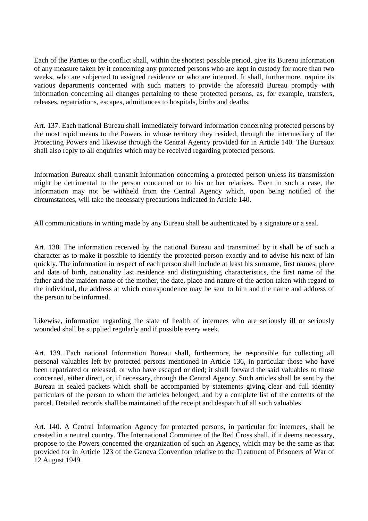Each of the Parties to the conflict shall, within the shortest possible period, give its Bureau information of any measure taken by it concerning any protected persons who are kept in custody for more than two weeks, who are subjected to assigned residence or who are interned. It shall, furthermore, require its various departments concerned with such matters to provide the aforesaid Bureau promptly with information concerning all changes pertaining to these protected persons, as, for example, transfers, releases, repatriations, escapes, admittances to hospitals, births and deaths.

Art. 137. Each national Bureau shall immediately forward information concerning protected persons by the most rapid means to the Powers in whose territory they resided, through the intermediary of the Protecting Powers and likewise through the Central Agency provided for in Article 140. The Bureaux shall also reply to all enquiries which may be received regarding protected persons.

Information Bureaux shall transmit information concerning a protected person unless its transmission might be detrimental to the person concerned or to his or her relatives. Even in such a case, the information may not be withheld from the Central Agency which, upon being notified of the circumstances, will take the necessary precautions indicated in Article 140.

All communications in writing made by any Bureau shall be authenticated by a signature or a seal.

Art. 138. The information received by the national Bureau and transmitted by it shall be of such a character as to make it possible to identify the protected person exactly and to advise his next of kin quickly. The information in respect of each person shall include at least his surname, first names, place and date of birth, nationality last residence and distinguishing characteristics, the first name of the father and the maiden name of the mother, the date, place and nature of the action taken with regard to the individual, the address at which correspondence may be sent to him and the name and address of the person to be informed.

Likewise, information regarding the state of health of internees who are seriously ill or seriously wounded shall be supplied regularly and if possible every week.

Art. 139. Each national Information Bureau shall, furthermore, be responsible for collecting all personal valuables left by protected persons mentioned in Article 136, in particular those who have been repatriated or released, or who have escaped or died; it shall forward the said valuables to those concerned, either direct, or, if necessary, through the Central Agency. Such articles shall be sent by the Bureau in sealed packets which shall be accompanied by statements giving clear and full identity particulars of the person to whom the articles belonged, and by a complete list of the contents of the parcel. Detailed records shall be maintained of the receipt and despatch of all such valuables.

Art. 140. A Central Information Agency for protected persons, in particular for internees, shall be created in a neutral country. The International Committee of the Red Cross shall, if it deems necessary, propose to the Powers concerned the organization of such an Agency, which may be the same as that provided for in Article 123 of the Geneva Convention relative to the Treatment of Prisoners of War of 12 August 1949.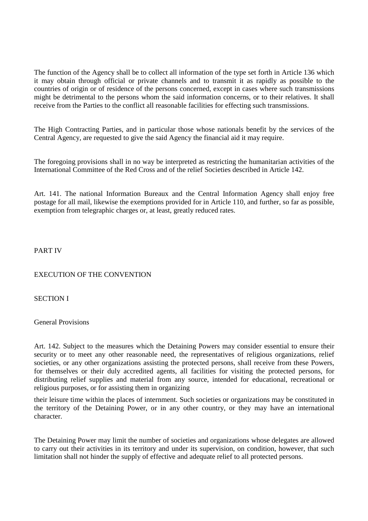The function of the Agency shall be to collect all information of the type set forth in Article 136 which it may obtain through official or private channels and to transmit it as rapidly as possible to the countries of origin or of residence of the persons concerned, except in cases where such transmissions might be detrimental to the persons whom the said information concerns, or to their relatives. It shall receive from the Parties to the conflict all reasonable facilities for effecting such transmissions.

The High Contracting Parties, and in particular those whose nationals benefit by the services of the Central Agency, are requested to give the said Agency the financial aid it may require.

The foregoing provisions shall in no way be interpreted as restricting the humanitarian activities of the International Committee of the Red Cross and of the relief Societies described in Article 142.

Art. 141. The national Information Bureaux and the Central Information Agency shall enjoy free postage for all mail, likewise the exemptions provided for in Article 110, and further, so far as possible, exemption from telegraphic charges or, at least, greatly reduced rates.

PART IV

EXECUTION OF THE CONVENTION

SECTION I

General Provisions

Art. 142. Subject to the measures which the Detaining Powers may consider essential to ensure their security or to meet any other reasonable need, the representatives of religious organizations, relief societies, or any other organizations assisting the protected persons, shall receive from these Powers, for themselves or their duly accredited agents, all facilities for visiting the protected persons, for distributing relief supplies and material from any source, intended for educational, recreational or religious purposes, or for assisting them in organizing

their leisure time within the places of internment. Such societies or organizations may be constituted in the territory of the Detaining Power, or in any other country, or they may have an international character.

The Detaining Power may limit the number of societies and organizations whose delegates are allowed to carry out their activities in its territory and under its supervision, on condition, however, that such limitation shall not hinder the supply of effective and adequate relief to all protected persons.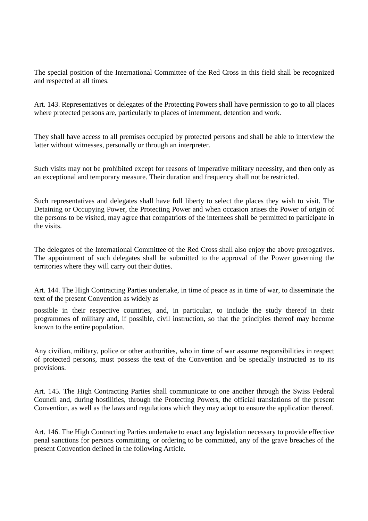The special position of the International Committee of the Red Cross in this field shall be recognized and respected at all times.

Art. 143. Representatives or delegates of the Protecting Powers shall have permission to go to all places where protected persons are, particularly to places of internment, detention and work.

They shall have access to all premises occupied by protected persons and shall be able to interview the latter without witnesses, personally or through an interpreter.

Such visits may not be prohibited except for reasons of imperative military necessity, and then only as an exceptional and temporary measure. Their duration and frequency shall not be restricted.

Such representatives and delegates shall have full liberty to select the places they wish to visit. The Detaining or Occupying Power, the Protecting Power and when occasion arises the Power of origin of the persons to be visited, may agree that compatriots of the internees shall be permitted to participate in the visits.

The delegates of the International Committee of the Red Cross shall also enjoy the above prerogatives. The appointment of such delegates shall be submitted to the approval of the Power governing the territories where they will carry out their duties.

Art. 144. The High Contracting Parties undertake, in time of peace as in time of war, to disseminate the text of the present Convention as widely as

possible in their respective countries, and, in particular, to include the study thereof in their programmes of military and, if possible, civil instruction, so that the principles thereof may become known to the entire population.

Any civilian, military, police or other authorities, who in time of war assume responsibilities in respect of protected persons, must possess the text of the Convention and be specially instructed as to its provisions.

Art. 145. The High Contracting Parties shall communicate to one another through the Swiss Federal Council and, during hostilities, through the Protecting Powers, the official translations of the present Convention, as well as the laws and regulations which they may adopt to ensure the application thereof.

Art. 146. The High Contracting Parties undertake to enact any legislation necessary to provide effective penal sanctions for persons committing, or ordering to be committed, any of the grave breaches of the present Convention defined in the following Article.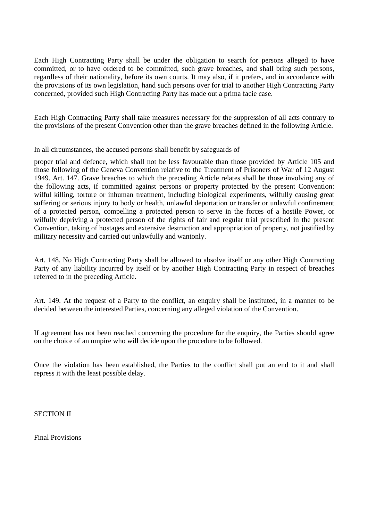Each High Contracting Party shall be under the obligation to search for persons alleged to have committed, or to have ordered to be committed, such grave breaches, and shall bring such persons, regardless of their nationality, before its own courts. It may also, if it prefers, and in accordance with the provisions of its own legislation, hand such persons over for trial to another High Contracting Party concerned, provided such High Contracting Party has made out a prima facie case.

Each High Contracting Party shall take measures necessary for the suppression of all acts contrary to the provisions of the present Convention other than the grave breaches defined in the following Article.

In all circumstances, the accused persons shall benefit by safeguards of

proper trial and defence, which shall not be less favourable than those provided by Article 105 and those following of the Geneva Convention relative to the Treatment of Prisoners of War of 12 August 1949. Art. 147. Grave breaches to which the preceding Article relates shall be those involving any of the following acts, if committed against persons or property protected by the present Convention: wilful killing, torture or inhuman treatment, including biological experiments, wilfully causing great suffering or serious injury to body or health, unlawful deportation or transfer or unlawful confinement of a protected person, compelling a protected person to serve in the forces of a hostile Power, or wilfully depriving a protected person of the rights of fair and regular trial prescribed in the present Convention, taking of hostages and extensive destruction and appropriation of property, not justified by military necessity and carried out unlawfully and wantonly.

Art. 148. No High Contracting Party shall be allowed to absolve itself or any other High Contracting Party of any liability incurred by itself or by another High Contracting Party in respect of breaches referred to in the preceding Article.

Art. 149. At the request of a Party to the conflict, an enquiry shall be instituted, in a manner to be decided between the interested Parties, concerning any alleged violation of the Convention.

If agreement has not been reached concerning the procedure for the enquiry, the Parties should agree on the choice of an umpire who will decide upon the procedure to be followed.

Once the violation has been established, the Parties to the conflict shall put an end to it and shall repress it with the least possible delay.

SECTION II

Final Provisions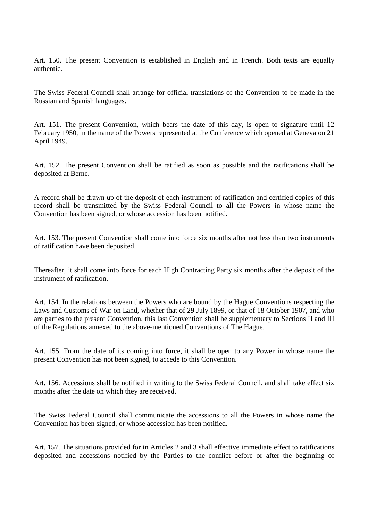Art. 150. The present Convention is established in English and in French. Both texts are equally authentic.

The Swiss Federal Council shall arrange for official translations of the Convention to be made in the Russian and Spanish languages.

Art. 151. The present Convention, which bears the date of this day, is open to signature until 12 February 1950, in the name of the Powers represented at the Conference which opened at Geneva on 21 April 1949.

Art. 152. The present Convention shall be ratified as soon as possible and the ratifications shall be deposited at Berne.

A record shall be drawn up of the deposit of each instrument of ratification and certified copies of this record shall be transmitted by the Swiss Federal Council to all the Powers in whose name the Convention has been signed, or whose accession has been notified.

Art. 153. The present Convention shall come into force six months after not less than two instruments of ratification have been deposited.

Thereafter, it shall come into force for each High Contracting Party six months after the deposit of the instrument of ratification.

Art. 154. In the relations between the Powers who are bound by the Hague Conventions respecting the Laws and Customs of War on Land, whether that of 29 July 1899, or that of 18 October 1907, and who are parties to the present Convention, this last Convention shall be supplementary to Sections II and III of the Regulations annexed to the above-mentioned Conventions of The Hague.

Art. 155. From the date of its coming into force, it shall be open to any Power in whose name the present Convention has not been signed, to accede to this Convention.

Art. 156. Accessions shall be notified in writing to the Swiss Federal Council, and shall take effect six months after the date on which they are received.

The Swiss Federal Council shall communicate the accessions to all the Powers in whose name the Convention has been signed, or whose accession has been notified.

Art. 157. The situations provided for in Articles 2 and 3 shall effective immediate effect to ratifications deposited and accessions notified by the Parties to the conflict before or after the beginning of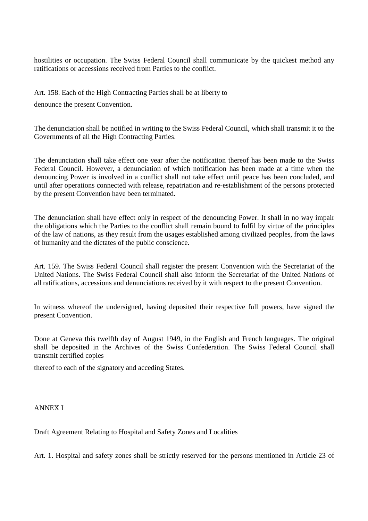hostilities or occupation. The Swiss Federal Council shall communicate by the quickest method any ratifications or accessions received from Parties to the conflict.

Art. 158. Each of the High Contracting Parties shall be at liberty to

denounce the present Convention.

The denunciation shall be notified in writing to the Swiss Federal Council, which shall transmit it to the Governments of all the High Contracting Parties.

The denunciation shall take effect one year after the notification thereof has been made to the Swiss Federal Council. However, a denunciation of which notification has been made at a time when the denouncing Power is involved in a conflict shall not take effect until peace has been concluded, and until after operations connected with release, repatriation and re-establishment of the persons protected by the present Convention have been terminated.

The denunciation shall have effect only in respect of the denouncing Power. It shall in no way impair the obligations which the Parties to the conflict shall remain bound to fulfil by virtue of the principles of the law of nations, as they result from the usages established among civilized peoples, from the laws of humanity and the dictates of the public conscience.

Art. 159. The Swiss Federal Council shall register the present Convention with the Secretariat of the United Nations. The Swiss Federal Council shall also inform the Secretariat of the United Nations of all ratifications, accessions and denunciations received by it with respect to the present Convention.

In witness whereof the undersigned, having deposited their respective full powers, have signed the present Convention.

Done at Geneva this twelfth day of August 1949, in the English and French languages. The original shall be deposited in the Archives of the Swiss Confederation. The Swiss Federal Council shall transmit certified copies

thereof to each of the signatory and acceding States.

ANNEX I

Draft Agreement Relating to Hospital and Safety Zones and Localities

Art. 1. Hospital and safety zones shall be strictly reserved for the persons mentioned in Article 23 of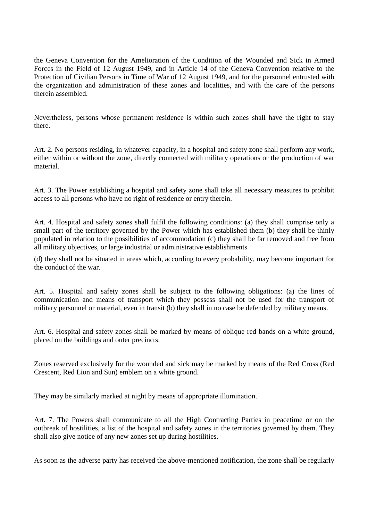the Geneva Convention for the Amelioration of the Condition of the Wounded and Sick in Armed Forces in the Field of 12 August 1949, and in Article 14 of the Geneva Convention relative to the Protection of Civilian Persons in Time of War of 12 August 1949, and for the personnel entrusted with the organization and administration of these zones and localities, and with the care of the persons therein assembled.

Nevertheless, persons whose permanent residence is within such zones shall have the right to stay there.

Art. 2. No persons residing, in whatever capacity, in a hospital and safety zone shall perform any work, either within or without the zone, directly connected with military operations or the production of war material.

Art. 3. The Power establishing a hospital and safety zone shall take all necessary measures to prohibit access to all persons who have no right of residence or entry therein.

Art. 4. Hospital and safety zones shall fulfil the following conditions: (a) they shall comprise only a small part of the territory governed by the Power which has established them (b) they shall be thinly populated in relation to the possibilities of accommodation (c) they shall be far removed and free from all military objectives, or large industrial or administrative establishments

(d) they shall not be situated in areas which, according to every probability, may become important for the conduct of the war.

Art. 5. Hospital and safety zones shall be subject to the following obligations: (a) the lines of communication and means of transport which they possess shall not be used for the transport of military personnel or material, even in transit (b) they shall in no case be defended by military means.

Art. 6. Hospital and safety zones shall be marked by means of oblique red bands on a white ground, placed on the buildings and outer precincts.

Zones reserved exclusively for the wounded and sick may be marked by means of the Red Cross (Red Crescent, Red Lion and Sun) emblem on a white ground.

They may be similarly marked at night by means of appropriate illumination.

Art. 7. The Powers shall communicate to all the High Contracting Parties in peacetime or on the outbreak of hostilities, a list of the hospital and safety zones in the territories governed by them. They shall also give notice of any new zones set up during hostilities.

As soon as the adverse party has received the above-mentioned notification, the zone shall be regularly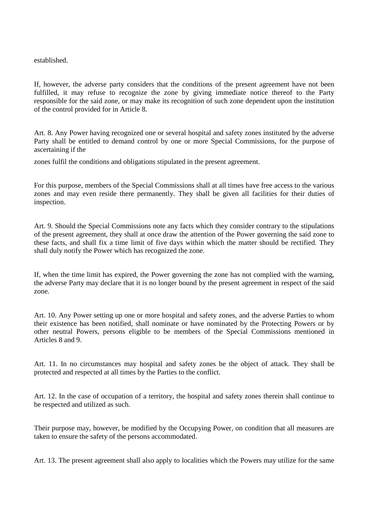#### established.

If, however, the adverse party considers that the conditions of the present agreement have not been fulfilled, it may refuse to recognize the zone by giving immediate notice thereof to the Party responsible for the said zone, or may make its recognition of such zone dependent upon the institution of the control provided for in Article 8.

Art. 8. Any Power having recognized one or several hospital and safety zones instituted by the adverse Party shall be entitled to demand control by one or more Special Commissions, for the purpose of ascertaining if the

zones fulfil the conditions and obligations stipulated in the present agreement.

For this purpose, members of the Special Commissions shall at all times have free access to the various zones and may even reside there permanently. They shall be given all facilities for their duties of inspection.

Art. 9. Should the Special Commissions note any facts which they consider contrary to the stipulations of the present agreement, they shall at once draw the attention of the Power governing the said zone to these facts, and shall fix a time limit of five days within which the matter should be rectified. They shall duly notify the Power which has recognized the zone.

If, when the time limit has expired, the Power governing the zone has not complied with the warning, the adverse Party may declare that it is no longer bound by the present agreement in respect of the said zone.

Art. 10. Any Power setting up one or more hospital and safety zones, and the adverse Parties to whom their existence has been notified, shall nominate or have nominated by the Protecting Powers or by other neutral Powers, persons eligible to be members of the Special Commissions mentioned in Articles 8 and 9.

Art. 11. In no circumstances may hospital and safety zones be the object of attack. They shall be protected and respected at all times by the Parties to the conflict.

Art. 12. In the case of occupation of a territory, the hospital and safety zones therein shall continue to be respected and utilized as such.

Their purpose may, however, be modified by the Occupying Power, on condition that all measures are taken to ensure the safety of the persons accommodated.

Art. 13. The present agreement shall also apply to localities which the Powers may utilize for the same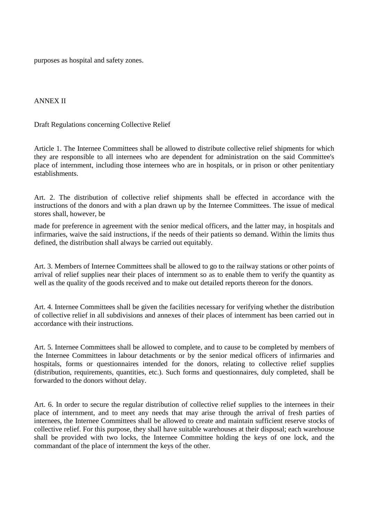purposes as hospital and safety zones.

#### ANNEX II

Draft Regulations concerning Collective Relief

Article 1. The Internee Committees shall be allowed to distribute collective relief shipments for which they are responsible to all internees who are dependent for administration on the said Committee's place of internment, including those internees who are in hospitals, or in prison or other penitentiary establishments.

Art. 2. The distribution of collective relief shipments shall be effected in accordance with the instructions of the donors and with a plan drawn up by the Internee Committees. The issue of medical stores shall, however, be

made for preference in agreement with the senior medical officers, and the latter may, in hospitals and infirmaries, waive the said instructions, if the needs of their patients so demand. Within the limits thus defined, the distribution shall always be carried out equitably.

Art. 3. Members of Internee Committees shall be allowed to go to the railway stations or other points of arrival of relief supplies near their places of internment so as to enable them to verify the quantity as well as the quality of the goods received and to make out detailed reports thereon for the donors.

Art. 4. Internee Committees shall be given the facilities necessary for verifying whether the distribution of collective relief in all subdivisions and annexes of their places of internment has been carried out in accordance with their instructions.

Art. 5. Internee Committees shall be allowed to complete, and to cause to be completed by members of the Internee Committees in labour detachments or by the senior medical officers of infirmaries and hospitals, forms or questionnaires intended for the donors, relating to collective relief supplies (distribution, requirements, quantities, etc.). Such forms and questionnaires, duly completed, shall be forwarded to the donors without delay.

Art. 6. In order to secure the regular distribution of collective relief supplies to the internees in their place of internment, and to meet any needs that may arise through the arrival of fresh parties of internees, the Internee Committees shall be allowed to create and maintain sufficient reserve stocks of collective relief. For this purpose, they shall have suitable warehouses at their disposal; each warehouse shall be provided with two locks, the Internee Committee holding the keys of one lock, and the commandant of the place of internment the keys of the other.